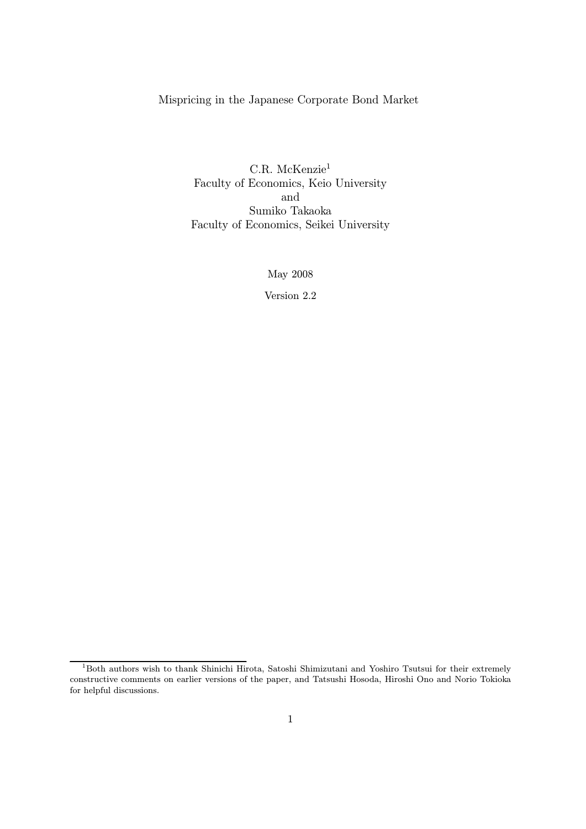### Mispricing in the Japanese Corporate Bond Market

C.R. McKenzie<sup>1</sup> Faculty of Economics, Keio University and Sumiko Takaoka Faculty of Economics, Seikei University

May 2008

Version 2.2

<sup>1</sup>Both authors wish to thank Shinichi Hirota, Satoshi Shimizutani and Yoshiro Tsutsui for their extremely constructive comments on earlier versions of the paper, and Tatsushi Hosoda, Hiroshi Ono and Norio Tokioka for helpful discussions.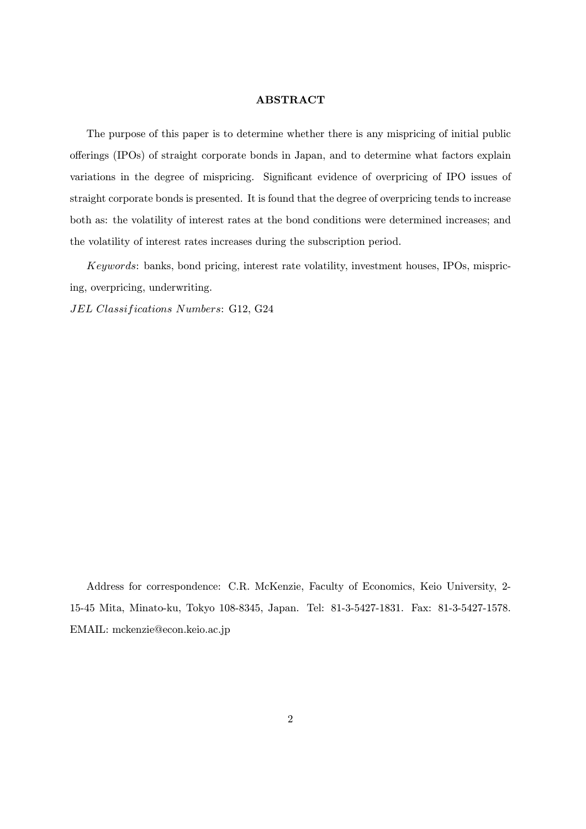#### ABSTRACT

The purpose of this paper is to determine whether there is any mispricing of initial public offerings (IPOs) of straight corporate bonds in Japan, and to determine what factors explain variations in the degree of mispricing. Significant evidence of overpricing of IPO issues of straight corporate bonds is presented. It is found that the degree of overpricing tends to increase both as: the volatility of interest rates at the bond conditions were determined increases; and the volatility of interest rates increases during the subscription period.

Keywords: banks, bond pricing, interest rate volatility, investment houses, IPOs, mispricing, overpricing, underwriting.

JEL Classifications Numbers: G12, G24

Address for correspondence: C.R. McKenzie, Faculty of Economics, Keio University, 2- 15-45 Mita, Minato-ku, Tokyo 108-8345, Japan. Tel: 81-3-5427-1831. Fax: 81-3-5427-1578. EMAIL: mckenzie@econ.keio.ac.jp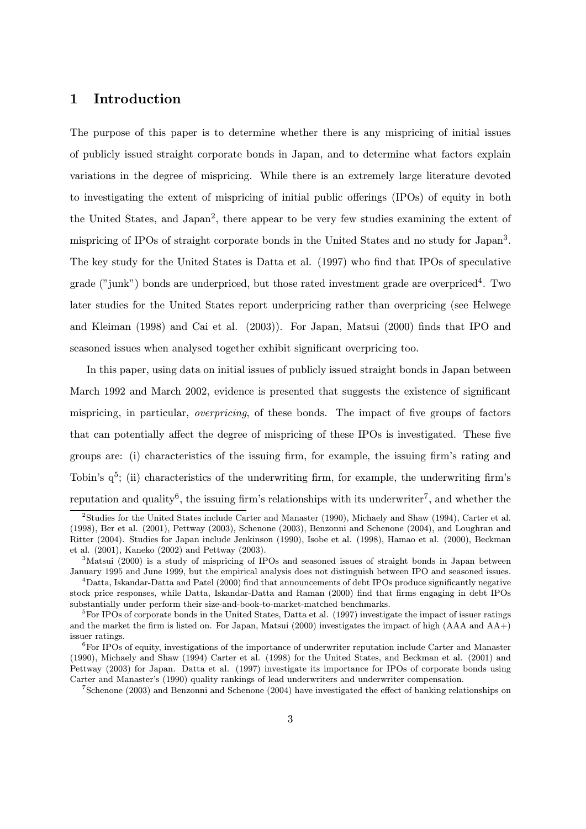## 1 Introduction

The purpose of this paper is to determine whether there is any mispricing of initial issues of publicly issued straight corporate bonds in Japan, and to determine what factors explain variations in the degree of mispricing. While there is an extremely large literature devoted to investigating the extent of mispricing of initial public offerings (IPOs) of equity in both the United States, and Japan2, there appear to be very few studies examining the extent of mispricing of IPOs of straight corporate bonds in the United States and no study for Japan3. The key study for the United States is Datta et al. (1997) who find that IPOs of speculative grade ("junk") bonds are underpriced, but those rated investment grade are overpriced<sup>4</sup>. Two later studies for the United States report underpricing rather than overpricing (see Helwege and Kleiman (1998) and Cai et al. (2003)). For Japan, Matsui (2000) finds that IPO and seasoned issues when analysed together exhibit significant overpricing too.

In this paper, using data on initial issues of publicly issued straight bonds in Japan between March 1992 and March 2002, evidence is presented that suggests the existence of significant mispricing, in particular, overpricing, of these bonds. The impact of five groups of factors that can potentially affect the degree of mispricing of these IPOs is investigated. These five groups are: (i) characteristics of the issuing firm, for example, the issuing firm's rating and Tobin's  $q^5$ ; (ii) characteristics of the underwriting firm, for example, the underwriting firm's reputation and quality<sup>6</sup>, the issuing firm's relationships with its underwriter<sup>7</sup>, and whether the

<sup>&</sup>lt;sup>2</sup>Studies for the United States include Carter and Manaster (1990), Michaely and Shaw (1994), Carter et al. (1998), Ber et al. (2001), Pettway (2003), Schenone (2003), Benzonni and Schenone (2004), and Loughran and Ritter (2004). Studies for Japan include Jenkinson (1990), Isobe et al. (1998), Hamao et al. (2000), Beckman et al. (2001), Kaneko (2002) and Pettway (2003).

<sup>&</sup>lt;sup>3</sup>Matsui (2000) is a study of mispricing of IPOs and seasoned issues of straight bonds in Japan between January 1995 and June 1999, but the empirical analysis does not distinguish between IPO and seasoned issues.

<sup>4</sup>Datta, Iskandar-Datta and Patel (2000) find that announcements of debt IPOs produce significantly negative stock price responses, while Datta, Iskandar-Datta and Raman (2000) find that firms engaging in debt IPOs substantially under perform their size-and-book-to-market-matched benchmarks.

<sup>5</sup>For IPOs of corporate bonds in the United States, Datta et al. (1997) investigate the impact of issuer ratings and the market the firm is listed on. For Japan, Matsui (2000) investigates the impact of high (AAA and AA+) issuer ratings.

 ${}^{6}$ For IPOs of equity, investigations of the importance of underwriter reputation include Carter and Manaster (1990), Michaely and Shaw (1994) Carter et al. (1998) for the United States, and Beckman et al. (2001) and Pettway (2003) for Japan. Datta et al. (1997) investigate its importance for IPOs of corporate bonds using Carter and Manaster's (1990) quality rankings of lead underwriters and underwriter compensation.

<sup>7</sup>Schenone (2003) and Benzonni and Schenone (2004) have investigated the effect of banking relationships on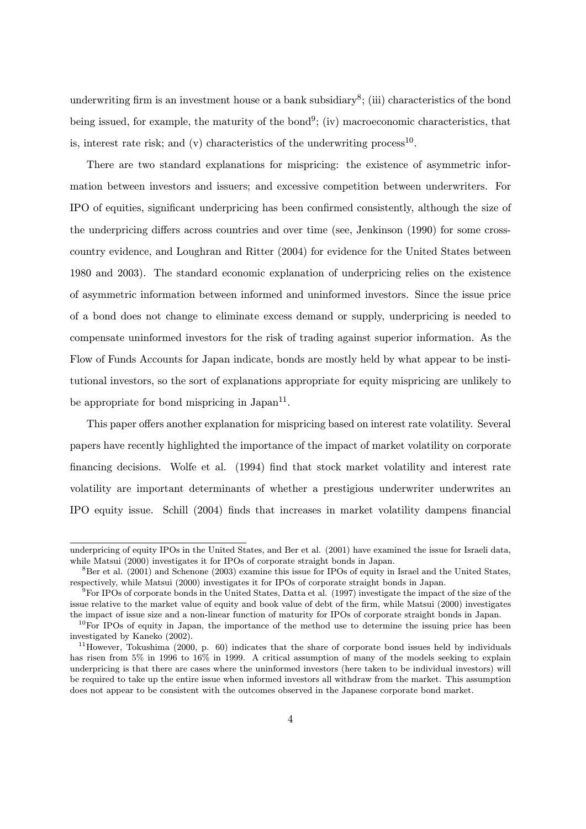underwriting firm is an investment house or a bank subsidiary<sup>8</sup>; (iii) characteristics of the bond being issued, for example, the maturity of the bond<sup>9</sup>; (iv) macroeconomic characteristics, that is, interest rate risk; and (v) characteristics of the underwriting process<sup>10</sup>.

There are two standard explanations for mispricing: the existence of asymmetric information between investors and issuers; and excessive competition between underwriters. For IPO of equities, significant underpricing has been confirmed consistently, although the size of the underpricing differs across countries and over time (see, Jenkinson (1990) for some crosscountry evidence, and Loughran and Ritter (2004) for evidence for the United States between 1980 and 2003). The standard economic explanation of underpricing relies on the existence of asymmetric information between informed and uninformed investors. Since the issue price of a bond does not change to eliminate excess demand or supply, underpricing is needed to compensate uninformed investors for the risk of trading against superior information. As the Flow of Funds Accounts for Japan indicate, bonds are mostly held by what appear to be institutional investors, so the sort of explanations appropriate for equity mispricing are unlikely to be appropriate for bond mispricing in  $Japan^{11}$ .

This paper offers another explanation for mispricing based on interest rate volatility. Several papers have recently highlighted the importance of the impact of market volatility on corporate financing decisions. Wolfe et al. (1994) find that stock market volatility and interest rate volatility are important determinants of whether a prestigious underwriter underwrites an IPO equity issue. Schill (2004) finds that increases in market volatility dampens financial

underpricing of equity IPOs in the United States, and Ber et al. (2001) have examined the issue for Israeli data, while Matsui (2000) investigates it for IPOs of corporate straight bonds in Japan.

 ${}^{8}$ Ber et al. (2001) and Schenone (2003) examine this issue for IPOs of equity in Israel and the United States, respectively, while Matsui (2000) investigates it for IPOs of corporate straight bonds in Japan.

<sup>9</sup>For IPOs of corporate bonds in the United States, Datta et al. (1997) investigate the impact of the size of the issue relative to the market value of equity and book value of debt of the firm, while Matsui (2000) investigates the impact of issue size and a non-linear function of maturity for IPOs of corporate straight bonds in Japan.

 $10$ For IPOs of equity in Japan, the importance of the method use to determine the issuing price has been investigated by Kaneko (2002).

 $11$ However, Tokushima (2000, p. 60) indicates that the share of corporate bond issues held by individuals has risen from 5% in 1996 to 16% in 1999. A critical assumption of many of the models seeking to explain underpricing is that there are cases where the uninformed investors (here taken to be individual investors) will be required to take up the entire issue when informed investors all withdraw from the market. This assumption does not appear to be consistent with the outcomes observed in the Japanese corporate bond market.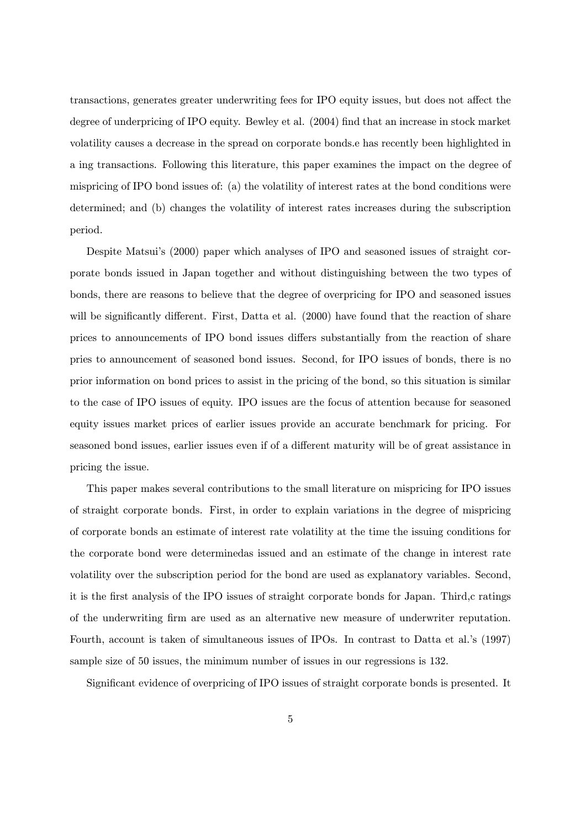transactions, generates greater underwriting fees for IPO equity issues, but does not affect the degree of underpricing of IPO equity. Bewley et al. (2004) find that an increase in stock market volatility causes a decrease in the spread on corporate bonds.e has recently been highlighted in a ing transactions. Following this literature, this paper examines the impact on the degree of mispricing of IPO bond issues of: (a) the volatility of interest rates at the bond conditions were determined; and (b) changes the volatility of interest rates increases during the subscription period.

Despite Matsui's (2000) paper which analyses of IPO and seasoned issues of straight corporate bonds issued in Japan together and without distinguishing between the two types of bonds, there are reasons to believe that the degree of overpricing for IPO and seasoned issues will be significantly different. First, Datta et al. (2000) have found that the reaction of share prices to announcements of IPO bond issues differs substantially from the reaction of share pries to announcement of seasoned bond issues. Second, for IPO issues of bonds, there is no prior information on bond prices to assist in the pricing of the bond, so this situation is similar to the case of IPO issues of equity. IPO issues are the focus of attention because for seasoned equity issues market prices of earlier issues provide an accurate benchmark for pricing. For seasoned bond issues, earlier issues even if of a different maturity will be of great assistance in pricing the issue.

This paper makes several contributions to the small literature on mispricing for IPO issues of straight corporate bonds. First, in order to explain variations in the degree of mispricing of corporate bonds an estimate of interest rate volatility at the time the issuing conditions for the corporate bond were determinedas issued and an estimate of the change in interest rate volatility over the subscription period for the bond are used as explanatory variables. Second, it is the first analysis of the IPO issues of straight corporate bonds for Japan. Third,c ratings of the underwriting firm are used as an alternative new measure of underwriter reputation. Fourth, account is taken of simultaneous issues of IPOs. In contrast to Datta et al.'s (1997) sample size of 50 issues, the minimum number of issues in our regressions is 132.

Significant evidence of overpricing of IPO issues of straight corporate bonds is presented. It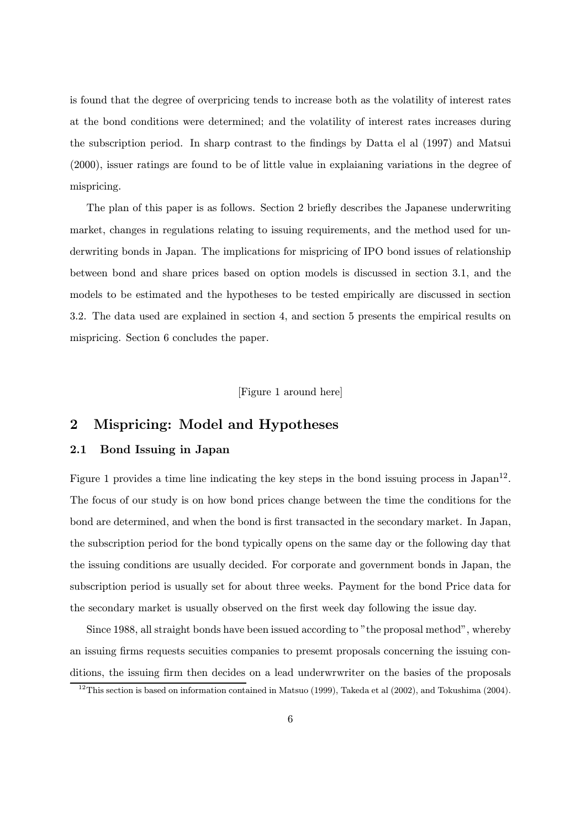is found that the degree of overpricing tends to increase both as the volatility of interest rates at the bond conditions were determined; and the volatility of interest rates increases during the subscription period. In sharp contrast to the findings by Datta el al (1997) and Matsui (2000), issuer ratings are found to be of little value in explaianing variations in the degree of mispricing.

The plan of this paper is as follows. Section 2 briefly describes the Japanese underwriting market, changes in regulations relating to issuing requirements, and the method used for underwriting bonds in Japan. The implications for mispricing of IPO bond issues of relationship between bond and share prices based on option models is discussed in section 3.1, and the models to be estimated and the hypotheses to be tested empirically are discussed in section 3.2. The data used are explained in section 4, and section 5 presents the empirical results on mispricing. Section 6 concludes the paper.

[Figure 1 around here]

# 2 Mispricing: Model and Hypotheses

#### 2.1 Bond Issuing in Japan

Figure 1 provides a time line indicating the key steps in the bond issuing process in Japan<sup>12</sup>. The focus of our study is on how bond prices change between the time the conditions for the bond are determined, and when the bond is first transacted in the secondary market. In Japan, the subscription period for the bond typically opens on the same day or the following day that the issuing conditions are usually decided. For corporate and government bonds in Japan, the subscription period is usually set for about three weeks. Payment for the bond Price data for the secondary market is usually observed on the first week day following the issue day.

Since 1988, all straight bonds have been issued according to "the proposal method", whereby an issuing firms requests secuities companies to presemt proposals concerning the issuing conditions, the issuing firm then decides on a lead underwrwriter on the basies of the proposals

 $12$ This section is based on information contained in Matsuo (1999), Takeda et al (2002), and Tokushima (2004).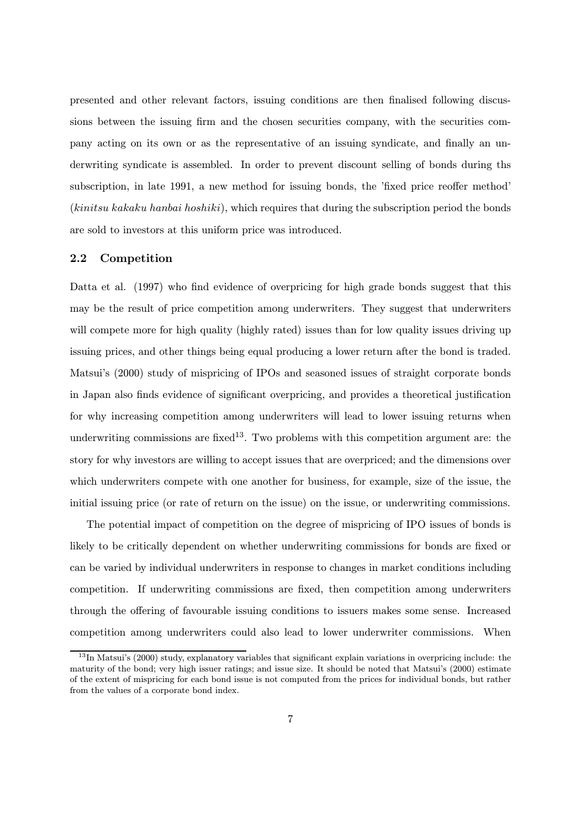presented and other relevant factors, issuing conditions are then finalised following discussions between the issuing firm and the chosen securities company, with the securities company acting on its own or as the representative of an issuing syndicate, and finally an underwriting syndicate is assembled. In order to prevent discount selling of bonds during ths subscription, in late 1991, a new method for issuing bonds, the 'fixed price reoffer method' (kinitsu kakaku hanbai hoshiki), which requires that during the subscription period the bonds are sold to investors at this uniform price was introduced.

#### 2.2 Competition

Datta et al. (1997) who find evidence of overpricing for high grade bonds suggest that this may be the result of price competition among underwriters. They suggest that underwriters will compete more for high quality (highly rated) issues than for low quality issues driving up issuing prices, and other things being equal producing a lower return after the bond is traded. Matsui's (2000) study of mispricing of IPOs and seasoned issues of straight corporate bonds in Japan also finds evidence of significant overpricing, and provides a theoretical justification for why increasing competition among underwriters will lead to lower issuing returns when underwriting commissions are fixed<sup>13</sup>. Two problems with this competition argument are: the story for why investors are willing to accept issues that are overpriced; and the dimensions over which underwriters compete with one another for business, for example, size of the issue, the initial issuing price (or rate of return on the issue) on the issue, or underwriting commissions.

The potential impact of competition on the degree of mispricing of IPO issues of bonds is likely to be critically dependent on whether underwriting commissions for bonds are fixed or can be varied by individual underwriters in response to changes in market conditions including competition. If underwriting commissions are fixed, then competition among underwriters through the offering of favourable issuing conditions to issuers makes some sense. Increased competition among underwriters could also lead to lower underwriter commissions. When

 $13$ In Matsui's (2000) study, explanatory variables that significant explain variations in overpricing include: the maturity of the bond; very high issuer ratings; and issue size. It should be noted that Matsui's (2000) estimate of the extent of mispricing for each bond issue is not computed from the prices for individual bonds, but rather from the values of a corporate bond index.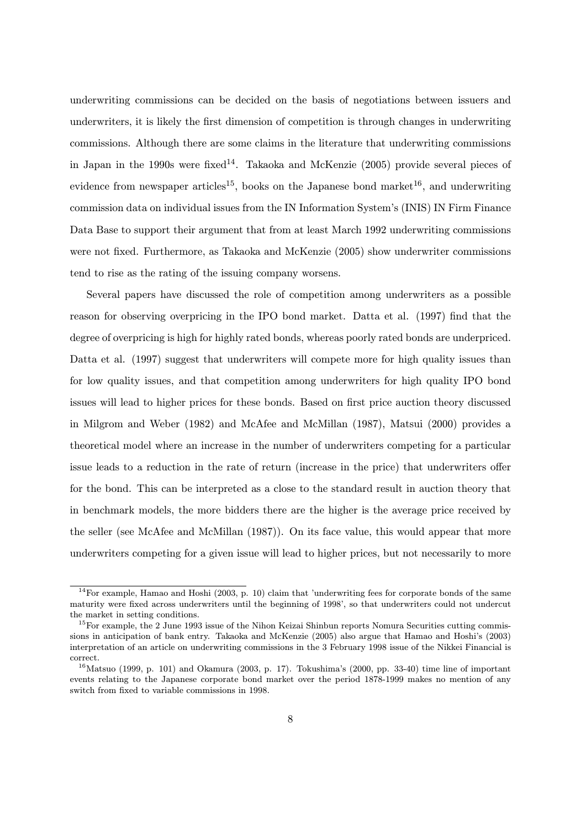underwriting commissions can be decided on the basis of negotiations between issuers and underwriters, it is likely the first dimension of competition is through changes in underwriting commissions. Although there are some claims in the literature that underwriting commissions in Japan in the 1990s were fixed<sup>14</sup>. Takaoka and McKenzie  $(2005)$  provide several pieces of evidence from newspaper articles<sup>15</sup>, books on the Japanese bond market<sup>16</sup>, and underwriting commission data on individual issues from the IN Information System's (INIS) IN Firm Finance Data Base to support their argument that from at least March 1992 underwriting commissions were not fixed. Furthermore, as Takaoka and McKenzie (2005) show underwriter commissions tend to rise as the rating of the issuing company worsens.

Several papers have discussed the role of competition among underwriters as a possible reason for observing overpricing in the IPO bond market. Datta et al. (1997) find that the degree of overpricing is high for highly rated bonds, whereas poorly rated bonds are underpriced. Datta et al. (1997) suggest that underwriters will compete more for high quality issues than for low quality issues, and that competition among underwriters for high quality IPO bond issues will lead to higher prices for these bonds. Based on first price auction theory discussed in Milgrom and Weber (1982) and McAfee and McMillan (1987), Matsui (2000) provides a theoretical model where an increase in the number of underwriters competing for a particular issue leads to a reduction in the rate of return (increase in the price) that underwriters offer for the bond. This can be interpreted as a close to the standard result in auction theory that in benchmark models, the more bidders there are the higher is the average price received by the seller (see McAfee and McMillan (1987)). On its face value, this would appear that more underwriters competing for a given issue will lead to higher prices, but not necessarily to more

 $14$ For example, Hamao and Hoshi (2003, p. 10) claim that 'underwriting fees for corporate bonds of the same maturity were fixed across underwriters until the beginning of 1998', so that underwriters could not undercut the market in setting conditions.

 $15$ For example, the 2 June 1993 issue of the Nihon Keizai Shinbun reports Nomura Securities cutting commissions in anticipation of bank entry. Takaoka and McKenzie (2005) also argue that Hamao and Hoshi's (2003) interpretation of an article on underwriting commissions in the 3 February 1998 issue of the Nikkei Financial is correct.

 $16$ Matsuo (1999, p. 101) and Okamura (2003, p. 17). Tokushima's (2000, pp. 33-40) time line of important events relating to the Japanese corporate bond market over the period 1878-1999 makes no mention of any switch from fixed to variable commissions in 1998.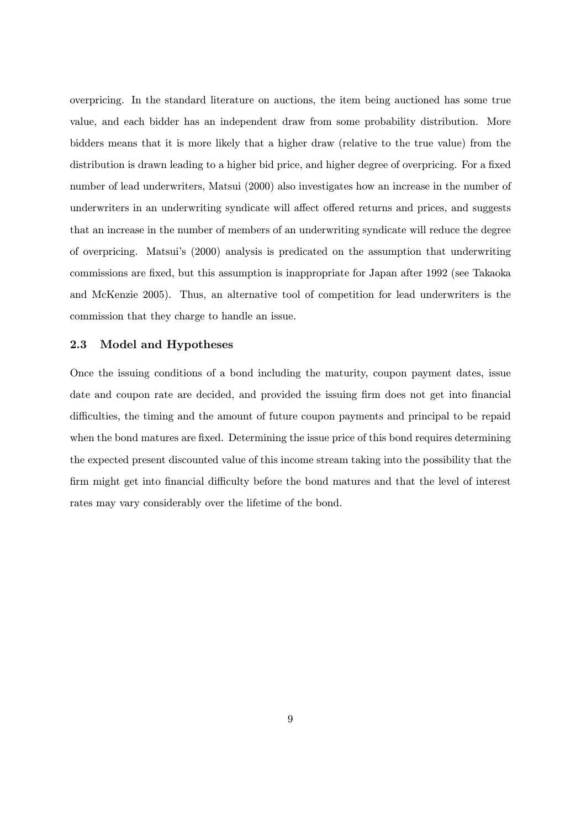overpricing. In the standard literature on auctions, the item being auctioned has some true value, and each bidder has an independent draw from some probability distribution. More bidders means that it is more likely that a higher draw (relative to the true value) from the distribution is drawn leading to a higher bid price, and higher degree of overpricing. For a fixed number of lead underwriters, Matsui (2000) also investigates how an increase in the number of underwriters in an underwriting syndicate will affect offered returns and prices, and suggests that an increase in the number of members of an underwriting syndicate will reduce the degree of overpricing. Matsui's (2000) analysis is predicated on the assumption that underwriting commissions are fixed, but this assumption is inappropriate for Japan after 1992 (see Takaoka and McKenzie 2005). Thus, an alternative tool of competition for lead underwriters is the commission that they charge to handle an issue.

#### 2.3 Model and Hypotheses

Once the issuing conditions of a bond including the maturity, coupon payment dates, issue date and coupon rate are decided, and provided the issuing firm does not get into financial difficulties, the timing and the amount of future coupon payments and principal to be repaid when the bond matures are fixed. Determining the issue price of this bond requires determining the expected present discounted value of this income stream taking into the possibility that the firm might get into financial difficulty before the bond matures and that the level of interest rates may vary considerably over the lifetime of the bond.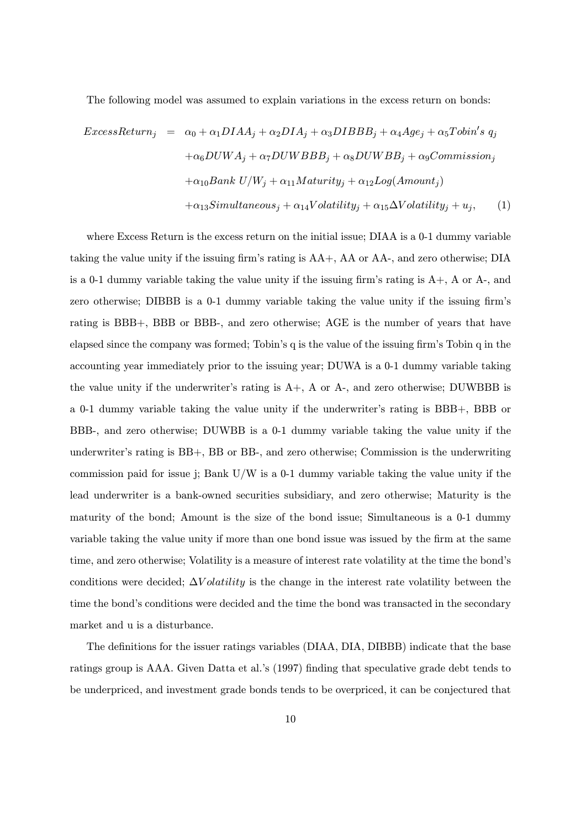The following model was assumed to explain variations in the excess return on bonds:

$$
ExcessReturn_j = \alpha_0 + \alpha_1 DIAA_j + \alpha_2 DIA_j + \alpha_3 DIBBB_j + \alpha_4 Age_j + \alpha_5 Tobin's q_j
$$

$$
+ \alpha_6 DUWA_j + \alpha_7 DUWBBB_j + \alpha_8 DUWBB_j + \alpha_9Commission_j
$$

$$
+ \alpha_{10} Bank \ U/W_j + \alpha_{11} Maturity_j + \alpha_{12} Log(Amount_j)
$$

$$
+ \alpha_{13} Simultaneous_j + \alpha_{14} Volatility_j + \alpha_{15} \Delta Volatility_j + u_j,
$$
 (1)

where Excess Return is the excess return on the initial issue; DIAA is a 0-1 dummy variable taking the value unity if the issuing firm's rating is AA+, AA or AA-, and zero otherwise; DIA is a 0-1 dummy variable taking the value unity if the issuing firm's rating is A+, A or A-, and zero otherwise; DIBBB is a 0-1 dummy variable taking the value unity if the issuing firm's rating is BBB+, BBB or BBB-, and zero otherwise; AGE is the number of years that have elapsed since the company was formed; Tobin's q is the value of the issuing firm's Tobin q in the accounting year immediately prior to the issuing year; DUWA is a 0-1 dummy variable taking the value unity if the underwriter's rating is  $A+$ ,  $A$  or  $A-$ , and zero otherwise; DUWBBB is a 0-1 dummy variable taking the value unity if the underwriter's rating is BBB+, BBB or BBB-, and zero otherwise; DUWBB is a 0-1 dummy variable taking the value unity if the underwriter's rating is BB+, BB or BB-, and zero otherwise; Commission is the underwriting commission paid for issue j; Bank  $U/W$  is a 0-1 dummy variable taking the value unity if the lead underwriter is a bank-owned securities subsidiary, and zero otherwise; Maturity is the maturity of the bond; Amount is the size of the bond issue; Simultaneous is a 0-1 dummy variable taking the value unity if more than one bond issue was issued by the firm at the same time, and zero otherwise; Volatility is a measure of interest rate volatility at the time the bond's conditions were decided;  $\Delta Volatility$  is the change in the interest rate volatility between the time the bond's conditions were decided and the time the bond was transacted in the secondary market and u is a disturbance.

The definitions for the issuer ratings variables (DIAA, DIA, DIBBB) indicate that the base ratings group is AAA. Given Datta et al.'s (1997) finding that speculative grade debt tends to be underpriced, and investment grade bonds tends to be overpriced, it can be conjectured that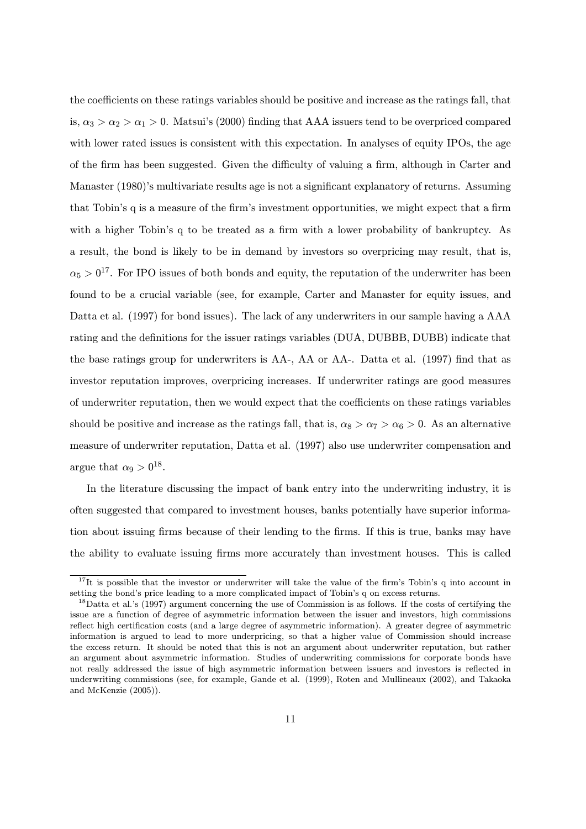the coefficients on these ratings variables should be positive and increase as the ratings fall, that is,  $\alpha_3 > \alpha_2 > \alpha_1 > 0$ . Matsui's (2000) finding that AAA issuers tend to be overpriced compared with lower rated issues is consistent with this expectation. In analyses of equity IPOs, the age of the firm has been suggested. Given the difficulty of valuing a firm, although in Carter and Manaster (1980)'s multivariate results age is not a significant explanatory of returns. Assuming that Tobin's q is a measure of the firm's investment opportunities, we might expect that a firm with a higher Tobin's q to be treated as a firm with a lower probability of bankruptcy. As a result, the bond is likely to be in demand by investors so overpricing may result, that is,  $\alpha_5 > 0^{17}$ . For IPO issues of both bonds and equity, the reputation of the underwriter has been found to be a crucial variable (see, for example, Carter and Manaster for equity issues, and Datta et al. (1997) for bond issues). The lack of any underwriters in our sample having a AAA rating and the definitions for the issuer ratings variables (DUA, DUBBB, DUBB) indicate that the base ratings group for underwriters is AA-, AA or AA-. Datta et al. (1997) find that as investor reputation improves, overpricing increases. If underwriter ratings are good measures of underwriter reputation, then we would expect that the coefficients on these ratings variables should be positive and increase as the ratings fall, that is,  $\alpha_8 > \alpha_7 > \alpha_6 > 0$ . As an alternative measure of underwriter reputation, Datta et al. (1997) also use underwriter compensation and argue that  $\alpha_9 > 0^{18}$ .

In the literature discussing the impact of bank entry into the underwriting industry, it is often suggested that compared to investment houses, banks potentially have superior information about issuing firms because of their lending to the firms. If this is true, banks may have the ability to evaluate issuing firms more accurately than investment houses. This is called

<sup>&</sup>lt;sup>17</sup>It is possible that the investor or underwriter will take the value of the firm's Tobin's q into account in setting the bond's price leading to a more complicated impact of Tobin's q on excess returns.

<sup>&</sup>lt;sup>18</sup>Datta et al.'s (1997) argument concerning the use of Commission is as follows. If the costs of certifying the issue are a function of degree of asymmetric information between the issuer and investors, high commissions reflect high certification costs (and a large degree of asymmetric information). A greater degree of asymmetric information is argued to lead to more underpricing, so that a higher value of Commission should increase the excess return. It should be noted that this is not an argument about underwriter reputation, but rather an argument about asymmetric information. Studies of underwriting commissions for corporate bonds have not really addressed the issue of high asymmetric information between issuers and investors is reflected in underwriting commissions (see, for example, Gande et al. (1999), Roten and Mullineaux (2002), and Takaoka and McKenzie (2005)).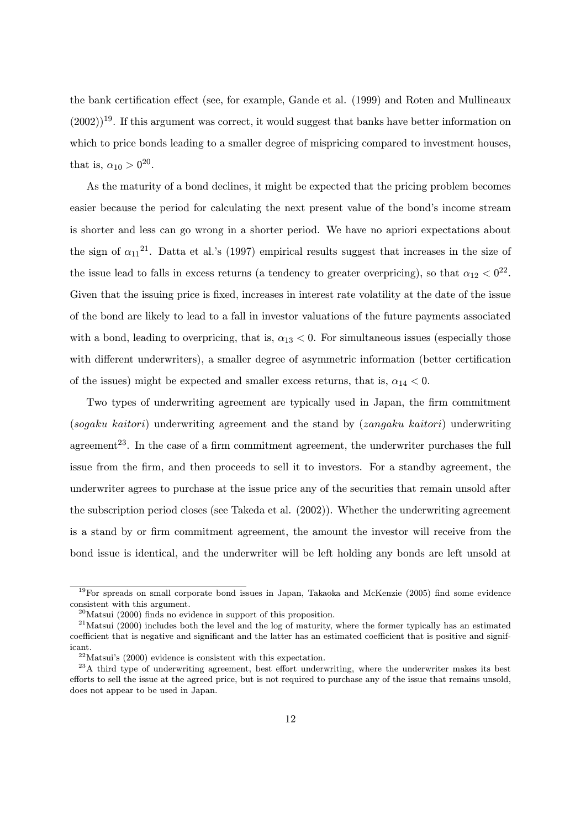the bank certification effect (see, for example, Gande et al. (1999) and Roten and Mullineaux  $(2002))^{19}$ . If this argument was correct, it would suggest that banks have better information on which to price bonds leading to a smaller degree of mispricing compared to investment houses, that is,  $\alpha_{10} > 0^{20}$ .

As the maturity of a bond declines, it might be expected that the pricing problem becomes easier because the period for calculating the next present value of the bond's income stream is shorter and less can go wrong in a shorter period. We have no apriori expectations about the sign of  $\alpha_{11}^{21}$ . Datta et al.'s (1997) empirical results suggest that increases in the size of the issue lead to falls in excess returns (a tendency to greater overpricing), so that  $\alpha_{12} < 0^{22}$ . Given that the issuing price is fixed, increases in interest rate volatility at the date of the issue of the bond are likely to lead to a fall in investor valuations of the future payments associated with a bond, leading to overpricing, that is,  $\alpha_{13} < 0$ . For simultaneous issues (especially those with different underwriters), a smaller degree of asymmetric information (better certification of the issues) might be expected and smaller excess returns, that is,  $\alpha_{14} < 0$ .

Two types of underwriting agreement are typically used in Japan, the firm commitment (sogaku kaitori) underwriting agreement and the stand by (zangaku kaitori) underwriting agreement<sup>23</sup>. In the case of a firm commitment agreement, the underwriter purchases the full issue from the firm, and then proceeds to sell it to investors. For a standby agreement, the underwriter agrees to purchase at the issue price any of the securities that remain unsold after the subscription period closes (see Takeda et al. (2002)). Whether the underwriting agreement is a stand by or firm commitment agreement, the amount the investor will receive from the bond issue is identical, and the underwriter will be left holding any bonds are left unsold at

<sup>&</sup>lt;sup>19</sup>For spreads on small corporate bond issues in Japan, Takaoka and McKenzie (2005) find some evidence consistent with this argument.

<sup>20</sup>Matsui (2000) finds no evidence in support of this proposition.

 $^{21}$ Matsui (2000) includes both the level and the log of maturity, where the former typically has an estimated coefficient that is negative and significant and the latter has an estimated coefficient that is positive and significant.

 $22$ Matsui's (2000) evidence is consistent with this expectation.

<sup>&</sup>lt;sup>23</sup>A third type of underwriting agreement, best effort underwriting, where the underwriter makes its best efforts to sell the issue at the agreed price, but is not required to purchase any of the issue that remains unsold, does not appear to be used in Japan.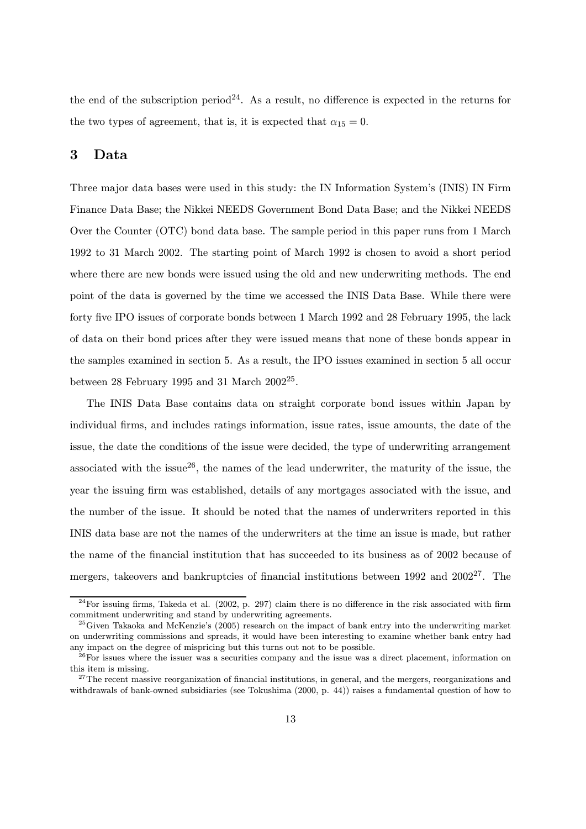the end of the subscription period<sup>24</sup>. As a result, no difference is expected in the returns for the two types of agreement, that is, it is expected that  $\alpha_{15} = 0$ .

### 3 Data

Three major data bases were used in this study: the IN Information System's (INIS) IN Firm Finance Data Base; the Nikkei NEEDS Government Bond Data Base; and the Nikkei NEEDS Over the Counter (OTC) bond data base. The sample period in this paper runs from 1 March 1992 to 31 March 2002. The starting point of March 1992 is chosen to avoid a short period where there are new bonds were issued using the old and new underwriting methods. The end point of the data is governed by the time we accessed the INIS Data Base. While there were forty five IPO issues of corporate bonds between 1 March 1992 and 28 February 1995, the lack of data on their bond prices after they were issued means that none of these bonds appear in the samples examined in section 5. As a result, the IPO issues examined in section 5 all occur between 28 February 1995 and 31 March  $2002^{25}$ .

The INIS Data Base contains data on straight corporate bond issues within Japan by individual firms, and includes ratings information, issue rates, issue amounts, the date of the issue, the date the conditions of the issue were decided, the type of underwriting arrangement associated with the issue<sup>26</sup>, the names of the lead underwriter, the maturity of the issue, the year the issuing firm was established, details of any mortgages associated with the issue, and the number of the issue. It should be noted that the names of underwriters reported in this INIS data base are not the names of the underwriters at the time an issue is made, but rather the name of the financial institution that has succeeded to its business as of 2002 because of mergers, takeovers and bankruptcies of financial institutions between 1992 and  $2002^{27}$ . The

 $^{24}$ For issuing firms, Takeda et al. (2002, p. 297) claim there is no difference in the risk associated with firm commitment underwriting and stand by underwriting agreements.

<sup>&</sup>lt;sup>25</sup>Given Takaoka and McKenzie's (2005) research on the impact of bank entry into the underwriting market on underwriting commissions and spreads, it would have been interesting to examine whether bank entry had any impact on the degree of mispricing but this turns out not to be possible.

 $^{26}$ For issues where the issuer was a securities company and the issue was a direct placement, information on this item is missing.

 $27$ The recent massive reorganization of financial institutions, in general, and the mergers, reorganizations and withdrawals of bank-owned subsidiaries (see Tokushima (2000, p. 44)) raises a fundamental question of how to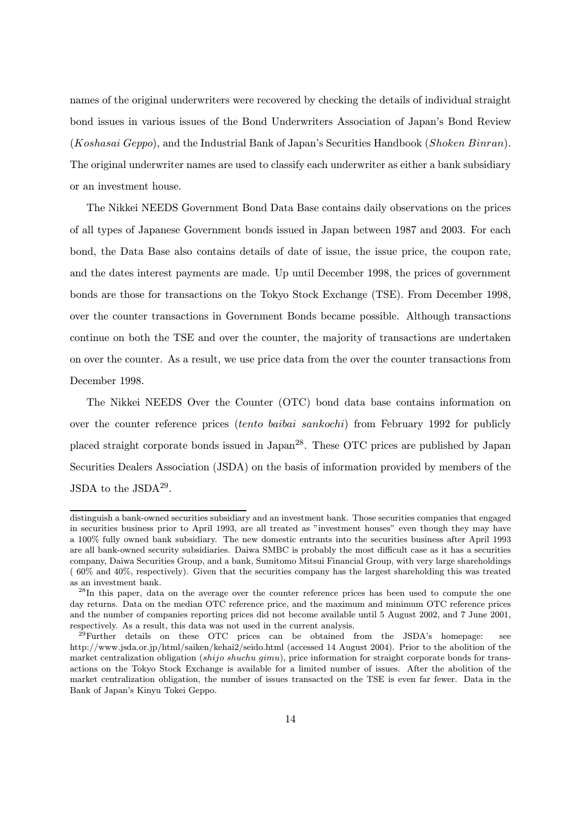names of the original underwriters were recovered by checking the details of individual straight bond issues in various issues of the Bond Underwriters Association of Japan's Bond Review (Koshasai Geppo), and the Industrial Bank of Japan's Securities Handbook (Shoken Binran). The original underwriter names are used to classify each underwriter as either a bank subsidiary or an investment house.

The Nikkei NEEDS Government Bond Data Base contains daily observations on the prices of all types of Japanese Government bonds issued in Japan between 1987 and 2003. For each bond, the Data Base also contains details of date of issue, the issue price, the coupon rate, and the dates interest payments are made. Up until December 1998, the prices of government bonds are those for transactions on the Tokyo Stock Exchange (TSE). From December 1998, over the counter transactions in Government Bonds became possible. Although transactions continue on both the TSE and over the counter, the majority of transactions are undertaken on over the counter. As a result, we use price data from the over the counter transactions from December 1998.

The Nikkei NEEDS Over the Counter (OTC) bond data base contains information on over the counter reference prices *(tento baibai sankochi)* from February 1992 for publicly placed straight corporate bonds issued in Japan28. These OTC prices are published by Japan Securities Dealers Association (JSDA) on the basis of information provided by members of the JSDA to the JSDA $^{29}$ .

distinguish a bank-owned securities subsidiary and an investment bank. Those securities companies that engaged in securities business prior to April 1993, are all treated as "investment houses" even though they may have a 100% fully owned bank subsidiary. The new domestic entrants into the securities business after April 1993 are all bank-owned security subsidiaries. Daiwa SMBC is probably the most difficult case as it has a securities company, Daiwa Securities Group, and a bank, Sumitomo Mitsui Financial Group, with very large shareholdings ( 60% and 40%, respectively). Given that the securities company has the largest shareholding this was treated as an investment bank.

<sup>&</sup>lt;sup>28</sup>In this paper, data on the average over the counter reference prices has been used to compute the one day returns. Data on the median OTC reference price, and the maximum and minimum OTC reference prices and the number of companies reporting prices did not become available until 5 August 2002, and 7 June 2001, respectively. As a result, this data was not used in the current analysis.

<sup>&</sup>lt;sup>29</sup>Further details on these OTC prices can be obtained from the JSDA's homepage: see http://www.jsda.or.jp/html/saiken/kehai2/seido.html (accessed 14 August 2004). Prior to the abolition of the market centralization obligation (shijo shuchu gimu), price information for straight corporate bonds for transactions on the Tokyo Stock Exchange is available for a limited number of issues. After the abolition of the market centralization obligation, the number of issues transacted on the TSE is even far fewer. Data in the Bank of Japan's Kinyu Tokei Geppo.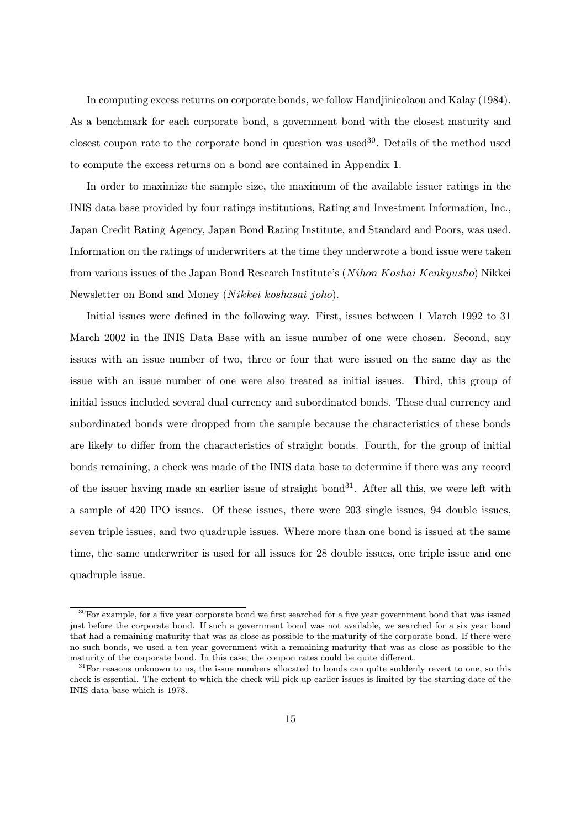In computing excess returns on corporate bonds, we follow Handjinicolaou and Kalay (1984). As a benchmark for each corporate bond, a government bond with the closest maturity and closest coupon rate to the corporate bond in question was used  $30$ . Details of the method used to compute the excess returns on a bond are contained in Appendix 1.

In order to maximize the sample size, the maximum of the available issuer ratings in the INIS data base provided by four ratings institutions, Rating and Investment Information, Inc., Japan Credit Rating Agency, Japan Bond Rating Institute, and Standard and Poors, was used. Information on the ratings of underwriters at the time they underwrote a bond issue were taken from various issues of the Japan Bond Research Institute's (Nihon Koshai Kenkyusho) Nikkei Newsletter on Bond and Money (Nikkei koshasai joho).

Initial issues were defined in the following way. First, issues between 1 March 1992 to 31 March 2002 in the INIS Data Base with an issue number of one were chosen. Second, any issues with an issue number of two, three or four that were issued on the same day as the issue with an issue number of one were also treated as initial issues. Third, this group of initial issues included several dual currency and subordinated bonds. These dual currency and subordinated bonds were dropped from the sample because the characteristics of these bonds are likely to differ from the characteristics of straight bonds. Fourth, for the group of initial bonds remaining, a check was made of the INIS data base to determine if there was any record of the issuer having made an earlier issue of straight bond<sup>31</sup>. After all this, we were left with a sample of 420 IPO issues. Of these issues, there were 203 single issues, 94 double issues, seven triple issues, and two quadruple issues. Where more than one bond is issued at the same time, the same underwriter is used for all issues for 28 double issues, one triple issue and one quadruple issue.

 $30$ For example, for a five year corporate bond we first searched for a five year government bond that was issued just before the corporate bond. If such a government bond was not available, we searched for a six year bond that had a remaining maturity that was as close as possible to the maturity of the corporate bond. If there were no such bonds, we used a ten year government with a remaining maturity that was as close as possible to the maturity of the corporate bond. In this case, the coupon rates could be quite different.

 $31$ For reasons unknown to us, the issue numbers allocated to bonds can quite suddenly revert to one, so this check is essential. The extent to which the check will pick up earlier issues is limited by the starting date of the INIS data base which is 1978.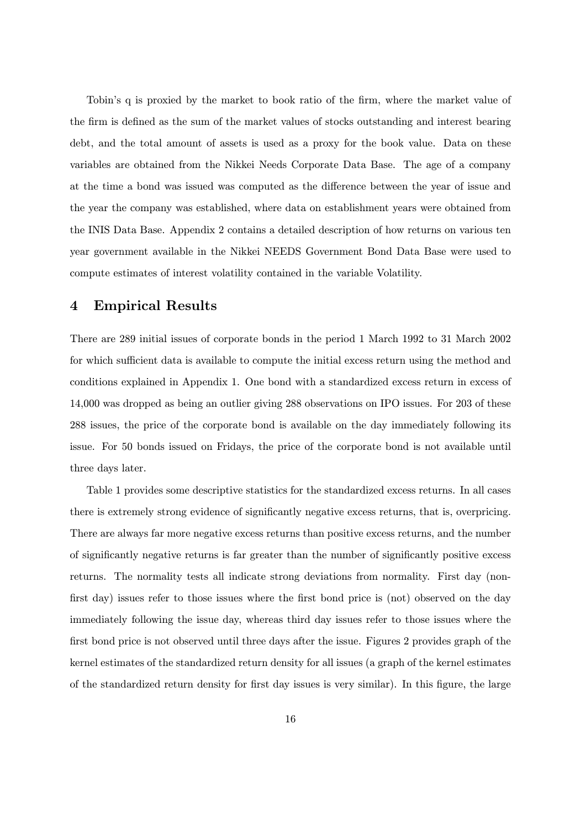Tobin's q is proxied by the market to book ratio of the firm, where the market value of the firm is defined as the sum of the market values of stocks outstanding and interest bearing debt, and the total amount of assets is used as a proxy for the book value. Data on these variables are obtained from the Nikkei Needs Corporate Data Base. The age of a company at the time a bond was issued was computed as the difference between the year of issue and the year the company was established, where data on establishment years were obtained from the INIS Data Base. Appendix 2 contains a detailed description of how returns on various ten year government available in the Nikkei NEEDS Government Bond Data Base were used to compute estimates of interest volatility contained in the variable Volatility.

### 4 Empirical Results

There are 289 initial issues of corporate bonds in the period 1 March 1992 to 31 March 2002 for which sufficient data is available to compute the initial excess return using the method and conditions explained in Appendix 1. One bond with a standardized excess return in excess of 14,000 was dropped as being an outlier giving 288 observations on IPO issues. For 203 of these 288 issues, the price of the corporate bond is available on the day immediately following its issue. For 50 bonds issued on Fridays, the price of the corporate bond is not available until three days later.

Table 1 provides some descriptive statistics for the standardized excess returns. In all cases there is extremely strong evidence of significantly negative excess returns, that is, overpricing. There are always far more negative excess returns than positive excess returns, and the number of significantly negative returns is far greater than the number of significantly positive excess returns. The normality tests all indicate strong deviations from normality. First day (nonfirst day) issues refer to those issues where the first bond price is (not) observed on the day immediately following the issue day, whereas third day issues refer to those issues where the first bond price is not observed until three days after the issue. Figures 2 provides graph of the kernel estimates of the standardized return density for all issues (a graph of the kernel estimates of the standardized return density for first day issues is very similar). In this figure, the large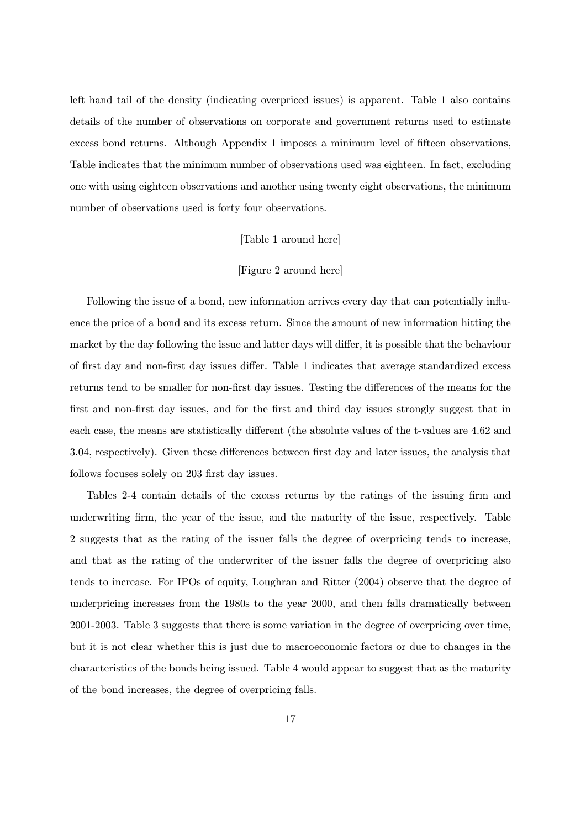left hand tail of the density (indicating overpriced issues) is apparent. Table 1 also contains details of the number of observations on corporate and government returns used to estimate excess bond returns. Although Appendix 1 imposes a minimum level of fifteen observations, Table indicates that the minimum number of observations used was eighteen. In fact, excluding one with using eighteen observations and another using twenty eight observations, the minimum number of observations used is forty four observations.

#### [Table 1 around here]

#### [Figure 2 around here]

Following the issue of a bond, new information arrives every day that can potentially influence the price of a bond and its excess return. Since the amount of new information hitting the market by the day following the issue and latter days will differ, it is possible that the behaviour of first day and non-first day issues differ. Table 1 indicates that average standardized excess returns tend to be smaller for non-first day issues. Testing the differences of the means for the first and non-first day issues, and for the first and third day issues strongly suggest that in each case, the means are statistically different (the absolute values of the t-values are 4.62 and 3.04, respectively). Given these differences between first day and later issues, the analysis that follows focuses solely on 203 first day issues.

Tables 2-4 contain details of the excess returns by the ratings of the issuing firm and underwriting firm, the year of the issue, and the maturity of the issue, respectively. Table 2 suggests that as the rating of the issuer falls the degree of overpricing tends to increase, and that as the rating of the underwriter of the issuer falls the degree of overpricing also tends to increase. For IPOs of equity, Loughran and Ritter (2004) observe that the degree of underpricing increases from the 1980s to the year 2000, and then falls dramatically between 2001-2003. Table 3 suggests that there is some variation in the degree of overpricing over time, but it is not clear whether this is just due to macroeconomic factors or due to changes in the characteristics of the bonds being issued. Table 4 would appear to suggest that as the maturity of the bond increases, the degree of overpricing falls.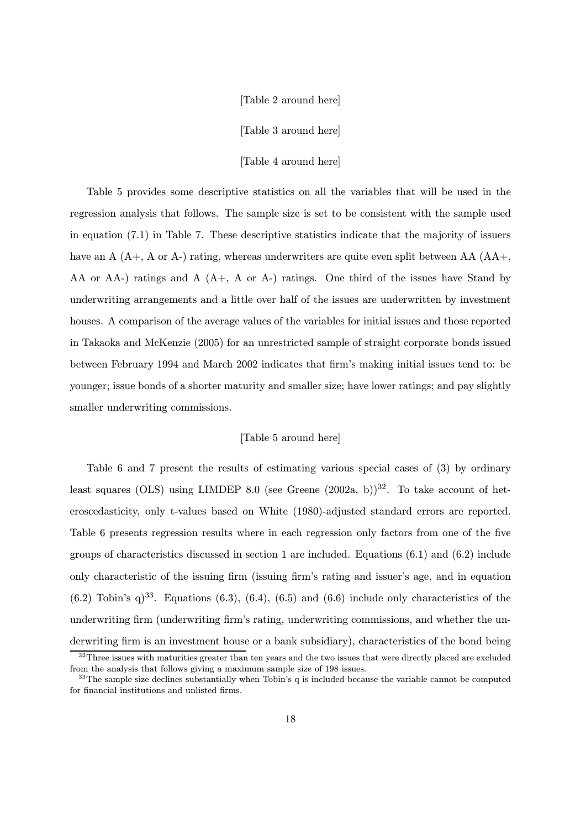#### [Table 2 around here]

[Table 3 around here]

[Table 4 around here]

Table 5 provides some descriptive statistics on all the variables that will be used in the regression analysis that follows. The sample size is set to be consistent with the sample used in equation (7.1) in Table 7. These descriptive statistics indicate that the majority of issuers have an  $A(A_+, A \text{ or } A_-)$  rating, whereas underwriters are quite even split between  $AA(AA_+, A \text{ or } A_-)$ AA or  $AA$ -) ratings and  $A(A_+, A \text{ or } A_-)$  ratings. One third of the issues have Stand by underwriting arrangements and a little over half of the issues are underwritten by investment houses. A comparison of the average values of the variables for initial issues and those reported in Takaoka and McKenzie (2005) for an unrestricted sample of straight corporate bonds issued between February 1994 and March 2002 indicates that firm's making initial issues tend to: be younger; issue bonds of a shorter maturity and smaller size; have lower ratings; and pay slightly smaller underwriting commissions.

#### [Table 5 around here]

Table 6 and 7 present the results of estimating various special cases of (3) by ordinary least squares (OLS) using LIMDEP 8.0 (see Greene  $(2002a, b)$ )<sup>32</sup>. To take account of heteroscedasticity, only t-values based on White (1980)-adjusted standard errors are reported. Table 6 presents regression results where in each regression only factors from one of the five groups of characteristics discussed in section 1 are included. Equations (6.1) and (6.2) include only characteristic of the issuing firm (issuing firm's rating and issuer's age, and in equation  $(6.2)$  Tobin's q)<sup>33</sup>. Equations (6.3), (6.4), (6.5) and (6.6) include only characteristics of the underwriting firm (underwriting firm's rating, underwriting commissions, and whether the underwriting firm is an investment house or a bank subsidiary), characteristics of the bond being

 $32$ Three issues with maturities greater than ten years and the two issues that were directly placed are excluded from the analysis that follows giving a maximum sample size of 198 issues.

<sup>&</sup>lt;sup>33</sup>The sample size declines substantially when Tobin's q is included because the variable cannot be computed for financial institutions and unlisted firms.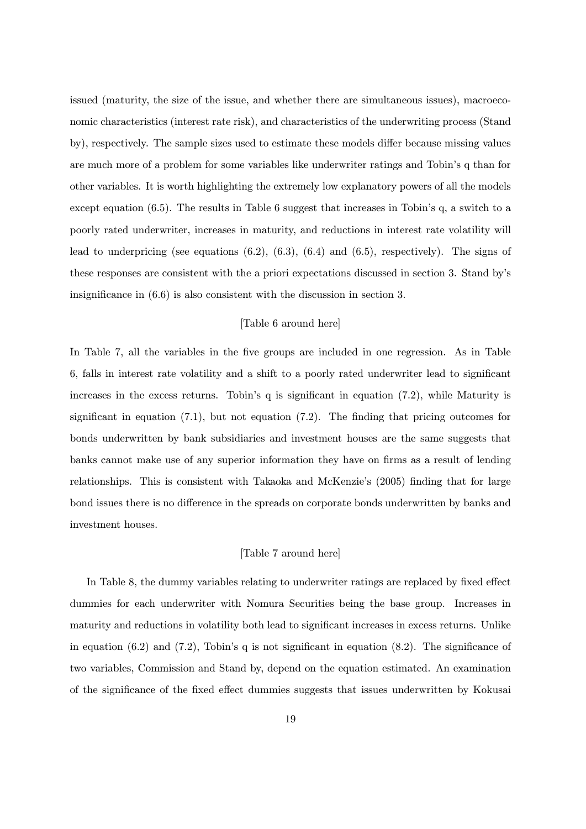issued (maturity, the size of the issue, and whether there are simultaneous issues), macroeconomic characteristics (interest rate risk), and characteristics of the underwriting process (Stand by), respectively. The sample sizes used to estimate these models differ because missing values are much more of a problem for some variables like underwriter ratings and Tobin's q than for other variables. It is worth highlighting the extremely low explanatory powers of all the models except equation (6.5). The results in Table 6 suggest that increases in Tobin's q, a switch to a poorly rated underwriter, increases in maturity, and reductions in interest rate volatility will lead to underpricing (see equations  $(6.2)$ ,  $(6.3)$ ,  $(6.4)$  and  $(6.5)$ , respectively). The signs of these responses are consistent with the a priori expectations discussed in section 3. Stand by's insignificance in (6.6) is also consistent with the discussion in section 3.

#### [Table 6 around here]

In Table 7, all the variables in the five groups are included in one regression. As in Table 6, falls in interest rate volatility and a shift to a poorly rated underwriter lead to significant increases in the excess returns. Tobin's q is significant in equation (7.2), while Maturity is significant in equation  $(7.1)$ , but not equation  $(7.2)$ . The finding that pricing outcomes for bonds underwritten by bank subsidiaries and investment houses are the same suggests that banks cannot make use of any superior information they have on firms as a result of lending relationships. This is consistent with Takaoka and McKenzie's (2005) finding that for large bond issues there is no difference in the spreads on corporate bonds underwritten by banks and investment houses.

#### [Table 7 around here]

In Table 8, the dummy variables relating to underwriter ratings are replaced by fixed effect dummies for each underwriter with Nomura Securities being the base group. Increases in maturity and reductions in volatility both lead to significant increases in excess returns. Unlike in equation  $(6.2)$  and  $(7.2)$ , Tobin's q is not significant in equation  $(8.2)$ . The significance of two variables, Commission and Stand by, depend on the equation estimated. An examination of the significance of the fixed effect dummies suggests that issues underwritten by Kokusai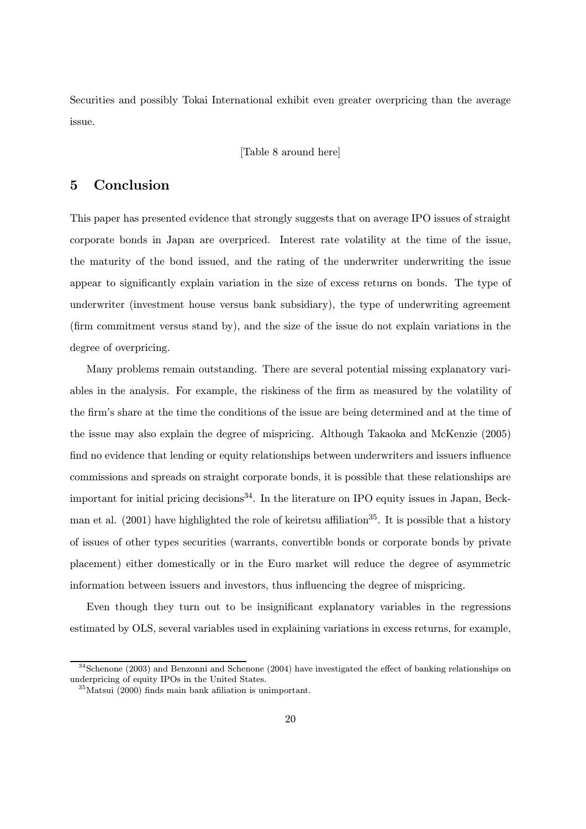Securities and possibly Tokai International exhibit even greater overpricing than the average issue.

[Table 8 around here]

### 5 Conclusion

This paper has presented evidence that strongly suggests that on average IPO issues of straight corporate bonds in Japan are overpriced. Interest rate volatility at the time of the issue, the maturity of the bond issued, and the rating of the underwriter underwriting the issue appear to significantly explain variation in the size of excess returns on bonds. The type of underwriter (investment house versus bank subsidiary), the type of underwriting agreement (firm commitment versus stand by), and the size of the issue do not explain variations in the degree of overpricing.

Many problems remain outstanding. There are several potential missing explanatory variables in the analysis. For example, the riskiness of the firm as measured by the volatility of the firm's share at the time the conditions of the issue are being determined and at the time of the issue may also explain the degree of mispricing. Although Takaoka and McKenzie (2005) find no evidence that lending or equity relationships between underwriters and issuers influence commissions and spreads on straight corporate bonds, it is possible that these relationships are important for initial pricing decisions<sup>34</sup>. In the literature on IPO equity issues in Japan, Beckman et al.  $(2001)$  have highlighted the role of keiretsu affiliation<sup>35</sup>. It is possible that a history of issues of other types securities (warrants, convertible bonds or corporate bonds by private placement) either domestically or in the Euro market will reduce the degree of asymmetric information between issuers and investors, thus influencing the degree of mispricing.

Even though they turn out to be insignificant explanatory variables in the regressions estimated by OLS, several variables used in explaining variations in excess returns, for example,

 $34$ Schenone (2003) and Benzonni and Schenone (2004) have investigated the effect of banking relationships on underpricing of equity IPOs in the United States.

<sup>35</sup>Matsui (2000) finds main bank afiliation is unimportant.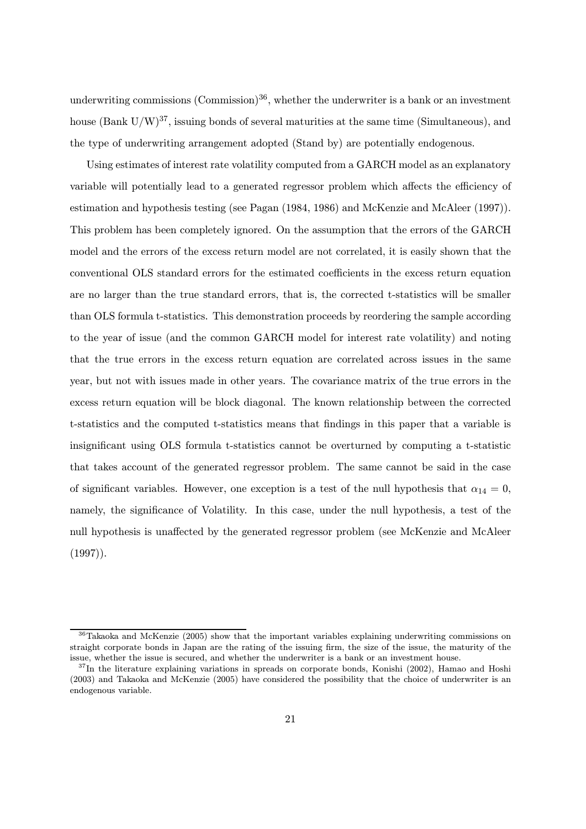underwriting commissions  $(Commission)^{36}$ , whether the underwriter is a bank or an investment house (Bank  $U/W$ )<sup>37</sup>, issuing bonds of several maturities at the same time (Simultaneous), and the type of underwriting arrangement adopted (Stand by) are potentially endogenous.

Using estimates of interest rate volatility computed from a GARCH model as an explanatory variable will potentially lead to a generated regressor problem which affects the efficiency of estimation and hypothesis testing (see Pagan (1984, 1986) and McKenzie and McAleer (1997)). This problem has been completely ignored. On the assumption that the errors of the GARCH model and the errors of the excess return model are not correlated, it is easily shown that the conventional OLS standard errors for the estimated coefficients in the excess return equation are no larger than the true standard errors, that is, the corrected t-statistics will be smaller than OLS formula t-statistics. This demonstration proceeds by reordering the sample according to the year of issue (and the common GARCH model for interest rate volatility) and noting that the true errors in the excess return equation are correlated across issues in the same year, but not with issues made in other years. The covariance matrix of the true errors in the excess return equation will be block diagonal. The known relationship between the corrected t-statistics and the computed t-statistics means that findings in this paper that a variable is insignificant using OLS formula t-statistics cannot be overturned by computing a t-statistic that takes account of the generated regressor problem. The same cannot be said in the case of significant variables. However, one exception is a test of the null hypothesis that  $\alpha_{14} = 0$ , namely, the significance of Volatility. In this case, under the null hypothesis, a test of the null hypothesis is unaffected by the generated regressor problem (see McKenzie and McAleer (1997)).

<sup>&</sup>lt;sup>36</sup>Takaoka and McKenzie (2005) show that the important variables explaining underwriting commissions on straight corporate bonds in Japan are the rating of the issuing firm, the size of the issue, the maturity of the issue, whether the issue is secured, and whether the underwriter is a bank or an investment house.

 $37$ In the literature explaining variations in spreads on corporate bonds, Konishi (2002), Hamao and Hoshi (2003) and Takaoka and McKenzie (2005) have considered the possibility that the choice of underwriter is an endogenous variable.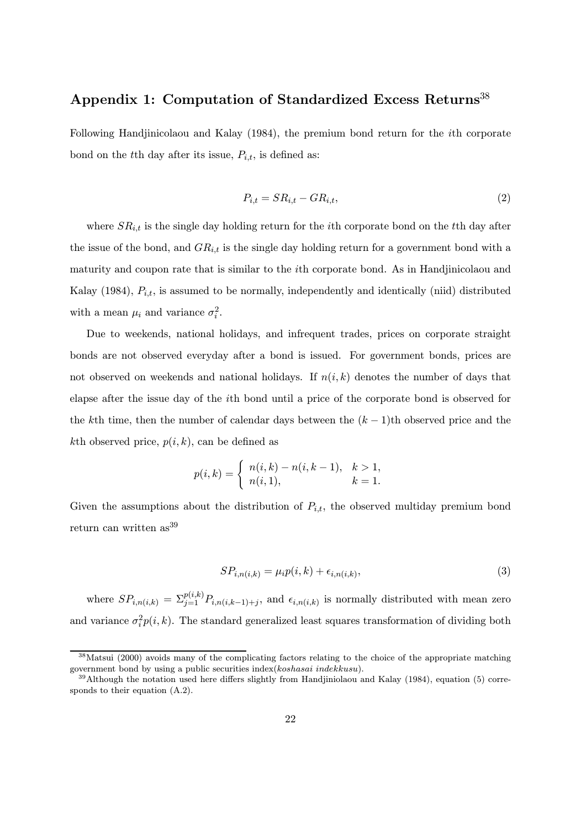# Appendix 1: Computation of Standardized Excess Returns<sup>38</sup>

Following Handjinicolaou and Kalay (1984), the premium bond return for the ith corporate bond on the tth day after its issue,  $P_{i,t}$ , is defined as:

$$
P_{i,t} = SR_{i,t} - GR_{i,t},\tag{2}
$$

where  $SR_{i,t}$  is the single day holding return for the *i*th corporate bond on the *t*<sup>th</sup> day after the issue of the bond, and  $GR_{i,t}$  is the single day holding return for a government bond with a maturity and coupon rate that is similar to the ith corporate bond. As in Handjinicolaou and Kalay (1984),  $P_{i,t}$ , is assumed to be normally, independently and identically (niid) distributed with a mean  $\mu_i$  and variance  $\sigma_i^2$ .

Due to weekends, national holidays, and infrequent trades, prices on corporate straight bonds are not observed everyday after a bond is issued. For government bonds, prices are not observed on weekends and national holidays. If  $n(i, k)$  denotes the number of days that elapse after the issue day of the ith bond until a price of the corporate bond is observed for the kth time, then the number of calendar days between the  $(k-1)$ th observed price and the kth observed price,  $p(i, k)$ , can be defined as

$$
p(i,k) = \begin{cases} n(i,k) - n(i,k-1), & k > 1, \\ n(i,1), & k = 1. \end{cases}
$$

Given the assumptions about the distribution of  $P_{i,t}$ , the observed multiday premium bond return can written as<sup>39</sup>

$$
SP_{i,n(i,k)} = \mu_i p(i,k) + \epsilon_{i,n(i,k)},\tag{3}
$$

where  $SP_{i,n(i,k)} = \sum_{j=1}^{p(i,k)} P_{i,n(i,k-1)+j}$ , and  $\epsilon_{i,n(i,k)}$  is normally distributed with mean zero and variance  $\sigma_i^2 p(i,k)$ . The standard generalized least squares transformation of dividing both

<sup>&</sup>lt;sup>38</sup>Matsui (2000) avoids many of the complicating factors relating to the choice of the appropriate matching government bond by using a public securities index(koshasai indekkusu).

 $39$ Although the notation used here differs slightly from Handjiniolaou and Kalay (1984), equation (5) corresponds to their equation (A.2).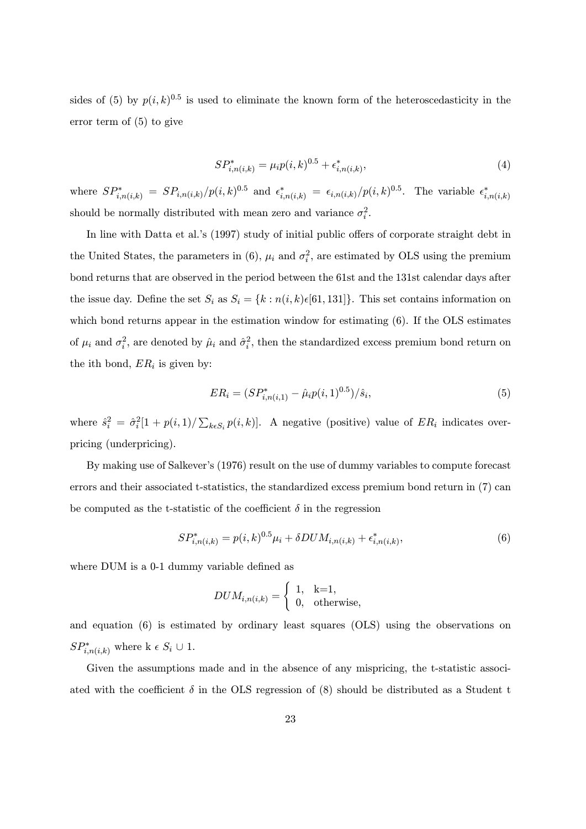sides of (5) by  $p(i,k)^{0.5}$  is used to eliminate the known form of the heteroscedasticity in the error term of (5) to give

$$
SP_{i,n(i,k)}^* = \mu_i p(i,k)^{0.5} + \epsilon_{i,n(i,k)}^*,
$$
\n(4)

where  $SP^*_{i,n(i,k)} = SP_{i,n(i,k)}/p(i,k)^{0.5}$  and  $\epsilon^*_{i,n(i,k)} = \epsilon_{i,n(i,k)}/p(i,k)^{0.5}$ . The variable  $\epsilon^*_{i,n(i,k)}$ should be normally distributed with mean zero and variance  $\sigma_i^2$ .

In line with Datta et al.'s (1997) study of initial public offers of corporate straight debt in the United States, the parameters in (6),  $\mu_i$  and  $\sigma_i^2$ , are estimated by OLS using the premium bond returns that are observed in the period between the 61st and the 131st calendar days after the issue day. Define the set  $S_i$  as  $S_i = \{k : n(i,k) \in [61, 131]\}$ . This set contains information on which bond returns appear in the estimation window for estimating  $(6)$ . If the OLS estimates of  $\mu_i$  and  $\sigma_i^2$ , are denoted by  $\hat{\mu}_i$  and  $\hat{\sigma}_i^2$ , then the standardized excess premium bond return on the ith bond,  $ER_i$  is given by:

$$
ER_i = (SP^*_{i,n(i,1)} - \hat{\mu}_i p(i,1)^{0.5})/\hat{s}_i,
$$
\n(5)

where  $\hat{s}_i^2 = \hat{\sigma}_i^2[1 + p(i, 1)/\sum_{k \in S_i} p(i, k)]$ . A negative (positive) value of  $ER_i$  indicates overpricing (underpricing).

By making use of Salkever's (1976) result on the use of dummy variables to compute forecast errors and their associated t-statistics, the standardized excess premium bond return in (7) can be computed as the t-statistic of the coefficient  $\delta$  in the regression

$$
SP_{i,n(i,k)}^* = p(i,k)^{0.5} \mu_i + \delta DUM_{i,n(i,k)} + \epsilon_{i,n(i,k)}^*,
$$
 (6)

where DUM is a 0-1 dummy variable defined as

$$
DUM_{i,n(i,k)} = \begin{cases} 1, & k=1, \\ 0, & \text{otherwise,} \end{cases}
$$

and equation (6) is estimated by ordinary least squares (OLS) using the observations on  $SP^*_{i,n(i,k)}$  where k  $\epsilon S_i \cup 1$ .

Given the assumptions made and in the absence of any mispricing, the t-statistic associated with the coefficient  $\delta$  in the OLS regression of (8) should be distributed as a Student t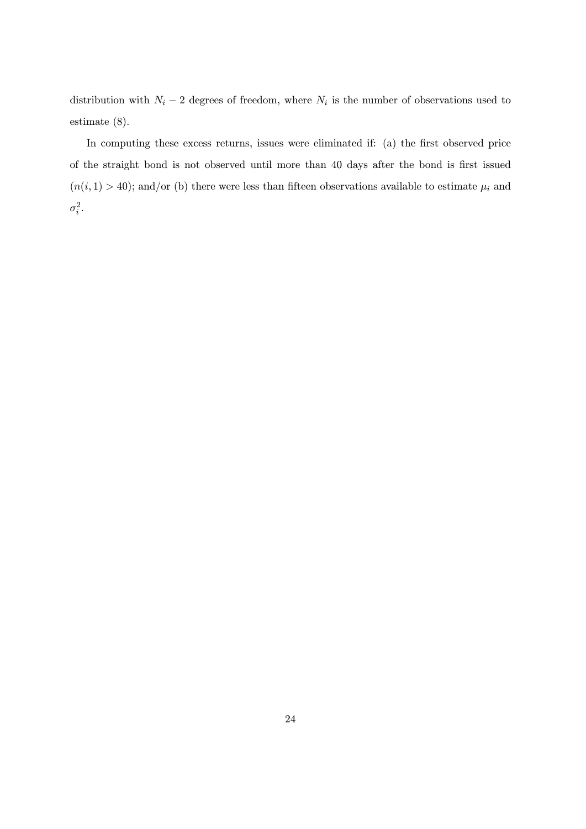distribution with  $N_i - 2$  degrees of freedom, where  $N_i$  is the number of observations used to estimate (8).

In computing these excess returns, issues were eliminated if: (a) the first observed price of the straight bond is not observed until more than 40 days after the bond is first issued  $(n(i, 1) > 40)$ ; and/or (b) there were less than fifteen observations available to estimate  $\mu_i$  and  $\sigma_i^2$ .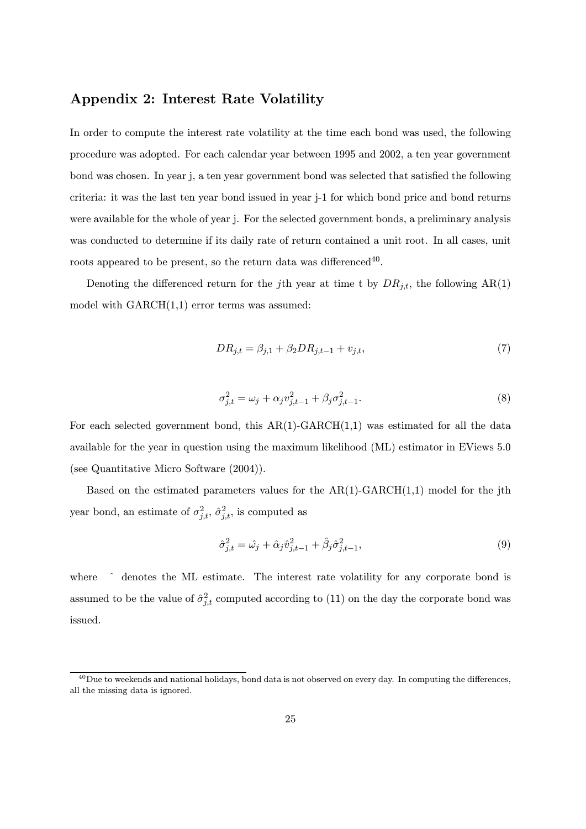# Appendix 2: Interest Rate Volatility

In order to compute the interest rate volatility at the time each bond was used, the following procedure was adopted. For each calendar year between 1995 and 2002, a ten year government bond was chosen. In year j, a ten year government bond was selected that satisfied the following criteria: it was the last ten year bond issued in year j-1 for which bond price and bond returns were available for the whole of year j. For the selected government bonds, a preliminary analysis was conducted to determine if its daily rate of return contained a unit root. In all cases, unit roots appeared to be present, so the return data was differenced<sup>40</sup>.

Denoting the differenced return for the j<sup>th</sup> year at time t by  $DR_{j,t}$ , the following  $AR(1)$ model with  $GARCH(1,1)$  error terms was assumed:

$$
DR_{j,t} = \beta_{j,1} + \beta_2 DR_{j,t-1} + v_{j,t},\tag{7}
$$

$$
\sigma_{j,t}^2 = \omega_j + \alpha_j v_{j,t-1}^2 + \beta_j \sigma_{j,t-1}^2.
$$
\n(8)

For each selected government bond, this  $AR(1)-GARCH(1,1)$  was estimated for all the data available for the year in question using the maximum likelihood (ML) estimator in EViews 5.0 (see Quantitative Micro Software (2004)).

Based on the estimated parameters values for the  $AR(1)$ -GARCH $(1,1)$  model for the jth year bond, an estimate of  $\sigma_{j,t}^2$ ,  $\hat{\sigma}_{j,t}^2$ , is computed as

$$
\hat{\sigma}_{j,t}^2 = \hat{\omega}_j + \hat{\alpha}_j \hat{v}_{j,t-1}^2 + \hat{\beta}_j \hat{\sigma}_{j,t-1}^2,
$$
\n(9)

where  $\hat{ }$  denotes the ML estimate. The interest rate volatility for any corporate bond is assumed to be the value of  $\hat{\sigma}_{j,t}^2$  computed according to (11) on the day the corporate bond was issued.

<sup>&</sup>lt;sup>40</sup>Due to weekends and national holidays, bond data is not observed on every day. In computing the differences, all the missing data is ignored.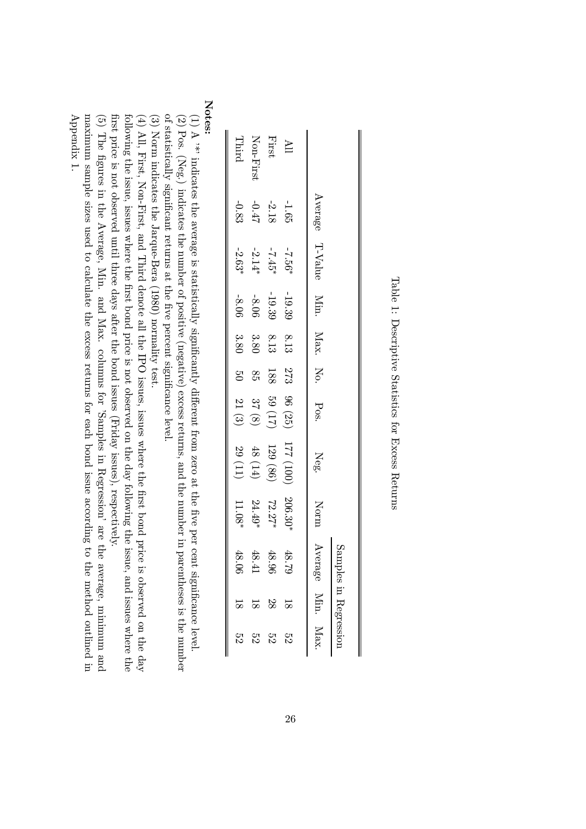Table 1:

Descriptive

Statistics

for Excess Returns

| ΣS   | $\overline{8}$     | 48.0<br>$\approx$ | $11.08*$  |                        | $50 \t 21 \t (3)$ |       |          | $-8.06$            |                 | $-0.83$ |              |
|------|--------------------|-------------------|-----------|------------------------|-------------------|-------|----------|--------------------|-----------------|---------|--------------|
|      |                    |                   |           |                        |                   |       | 3.80     |                    | $-2.63*$        |         | Third        |
| ΣS   | $\frac{8}{18}$     | 48.4              | $24.49*$  | 48 $(14)$<br>29 $(11)$ | $37\ (8)$         | 85    | $3.80\,$ | $-8.06$            | $-2.14*$        | $-0.47$ | Non-First    |
| 32   | 28                 | 48.96             | $72.27*$  | 129 (86)               | (21) 69           | $188$ | $8.13\,$ | $-19.39$           | $-7.45*$        | $-2.18$ | First        |
| 23   | $\frac{8}{10}$     | 48.79             | $206.30*$ | (001) 221              | 96(25)            | 273   | 8.13     | $-19.39$           | $-7.56*$        | $-1.65$ | $\mathbb{H}$ |
| Max. |                    | Average Min.      | Norm      | Neg.                   |                   |       |          | Min. Nox. No. Pos. | Average T-Value |         |              |
|      | ples in Regression | Samp              |           |                        |                   |       |          |                    |                 |         |              |

Notes:

(1) A '\*' indicates the average is statisticallysignificantlyբ fferent from zero at the five per cent significance level. (2) Pos. (Neg.) indicates the number of positive (negative) excess returns, and the number in parentheses is the number of statistically significant returns at the five percent significancelevel.

(3) Norm indicates the Jarque-Bera (1980) normalitytest.

(4) All, First, Non-First, and Third denote all the IPO issues, issues wherethe first bond price is observed on the day following the issue, issues where the first bond price is not observed on the day following the issue, and issues where the first price is not observed until three days after the bond issues (Friday issues), respectively.

(5) The figures in the Average, Min. and Max. columns for 'Samples in Regression' are the average,minimum and Appendix 1. maximum sample sizes used to calculate the excess returns for each bond issue according tothe method outlined in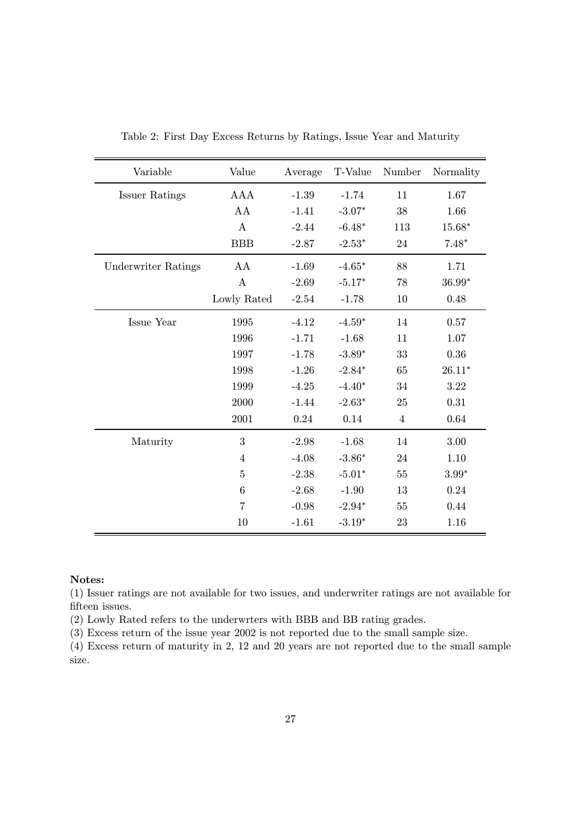| Variable                   | Value            | Average | T-Value  | Number         | Normality |
|----------------------------|------------------|---------|----------|----------------|-----------|
| <b>Issuer Ratings</b>      | <b>AAA</b>       | $-1.39$ | $-1.74$  | 11             | 1.67      |
|                            | AA               | $-1.41$ | $-3.07*$ | 38             | 1.66      |
|                            | $\mathbf{A}$     | $-2.44$ | $-6.48*$ | 113            | $15.68*$  |
|                            | <b>BBB</b>       | $-2.87$ | $-2.53*$ | 24             | $7.48*$   |
| <b>Underwriter Ratings</b> | AA               | $-1.69$ | $-4.65*$ | 88             | 1.71      |
|                            | $\boldsymbol{A}$ | $-2.69$ | $-5.17*$ | 78             | $36.99*$  |
|                            | Lowly Rated      | $-2.54$ | $-1.78$  | 10             | 0.48      |
| Issue Year                 | 1995             | $-4.12$ | $-4.59*$ | 14             | 0.57      |
|                            | 1996             | $-1.71$ | $-1.68$  | 11             | 1.07      |
|                            | 1997             | $-1.78$ | $-3.89*$ | 33             | 0.36      |
|                            | 1998             | $-1.26$ | $-2.84*$ | 65             | $26.11*$  |
|                            | 1999             | $-4.25$ | $-4.40*$ | 34             | 3.22      |
|                            | 2000             | $-1.44$ | $-2.63*$ | 25             | 0.31      |
|                            | 2001             | 0.24    | 0.14     | $\overline{4}$ | 0.64      |
| Maturity                   | 3                | $-2.98$ | $-1.68$  | 14             | 3.00      |
|                            | $\overline{4}$   | $-4.08$ | $-3.86*$ | 24             | 1.10      |
|                            | $\overline{5}$   | $-2.38$ | $-5.01*$ | 55             | $3.99*$   |
|                            | $\boldsymbol{6}$ | $-2.68$ | $-1.90$  | 13             | 0.24      |
|                            | $\overline{7}$   | $-0.98$ | $-2.94*$ | 55             | 0.44      |
|                            | 10               | $-1.61$ | $-3.19*$ | 23             | 1.16      |

Table 2: First Day Excess Returns by Ratings, Issue Year and Maturity

#### Notes:

(1) Issuer ratings are not available for two issues, and underwriter ratings are not available for fifteen issues.

(2) Lowly Rated refers to the underwrters with BBB and BB rating grades.

(3) Excess return of the issue year 2002 is not reported due to the small sample size.

(4) Excess return of maturity in 2, 12 and 20 years are not reported due to the small sample size.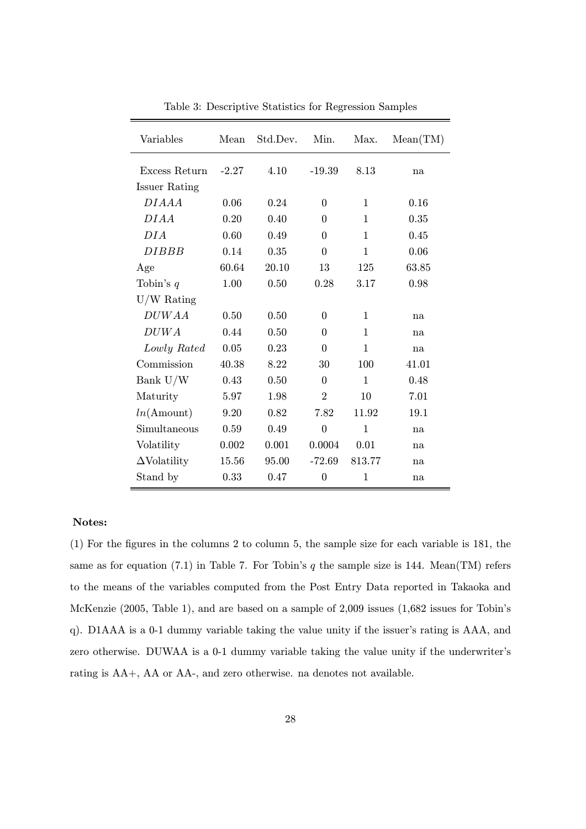| Variables              | Mean    | Std.Dev. | Min.           | Max.         | Mean(TM) |
|------------------------|---------|----------|----------------|--------------|----------|
| Excess Return          | $-2.27$ | 4.10     | $-19.39$       | 8.13         | na       |
| Issuer Rating          |         |          |                |              |          |
| DIAAA                  | 0.06    | 0.24     | $\Omega$       | 1            | 0.16     |
| DIAA                   | 0.20    | 0.40     | 0              | $\mathbf{1}$ | 0.35     |
| DIA                    | 0.60    | 0.49     | $\Omega$       | $\mathbf{1}$ | 0.45     |
| <b>DIBBB</b>           | 0.14    | 0.35     | 0              | $\mathbf{1}$ | 0.06     |
| Age                    | 60.64   | 20.10    | 13             | 125          | 63.85    |
| Tobin's $q$            | 1.00    | 0.50     | 0.28           | 3.17         | 0.98     |
| $U/W$ Rating           |         |          |                |              |          |
| <b>DUWAA</b>           | 0.50    | 0.50     | $\Omega$       | 1            | na       |
| DUWA                   | 0.44    | 0.50     | $\Omega$       | $\mathbf{1}$ | na       |
| Lowly Rated            | 0.05    | 0.23     | 0              | $\mathbf{1}$ | na       |
| Commission             | 40.38   | 8.22     | 30             | 100          | 41.01    |
| Bank U/W               | 0.43    | 0.50     | $\Omega$       | $\mathbf{1}$ | 0.48     |
| Maturity               | 5.97    | 1.98     | $\overline{2}$ | 10           | 7.01     |
| $ln(A_{\text{mount}})$ | 9.20    | 0.82     | 7.82           | 11.92        | 19.1     |
| Simultaneous           | 0.59    | 0.49     | $\overline{0}$ | $\mathbf 1$  | na       |
| Volatility             | 0.002   | 0.001    | 0.0004         | 0.01         | na       |
| $\Delta$ Volatility    | 15.56   | 95.00    | $-72.69$       | 813.77       | na       |
| Stand by               | 0.33    | 0.47     | $\theta$       | 1            | na       |

Table 3: Descriptive Statistics for Regression Samples

#### Notes:

(1) For the figures in the columns 2 to column 5, the sample size for each variable is 181, the same as for equation (7.1) in Table 7. For Tobin's q the sample size is 144. Mean(TM) refers to the means of the variables computed from the Post Entry Data reported in Takaoka and McKenzie (2005, Table 1), and are based on a sample of 2,009 issues (1,682 issues for Tobin's q). D1AAA is a 0-1 dummy variable taking the value unity if the issuer's rating is AAA, and zero otherwise. DUWAA is a 0-1 dummy variable taking the value unity if the underwriter's rating is AA+, AA or AA-, and zero otherwise. na denotes not available.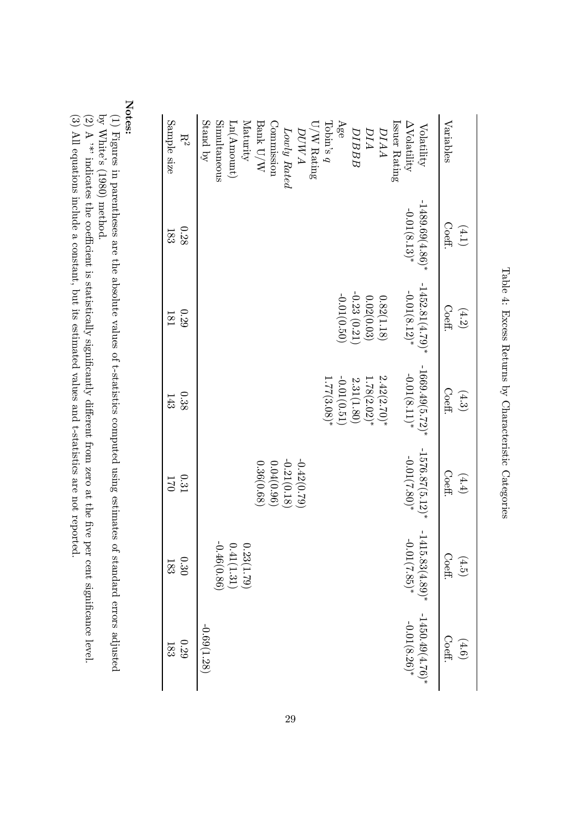| Sample size<br>$\mathrm{R}^2$ | Stand by<br>Simultaneous<br>Maturity<br>Issuer Rating<br>$\text{Ln}(\text{Amount})$<br>Commission<br>Tobin's $q$<br>Age<br>Bank U/W<br>$U/W$ Rating<br><b>DIBBB</b><br><b>DIAA</b><br>Lowly Rated<br>DIA<br><b>DUWA</b> | $\Delta \text{Volatility}$<br>Volatility | Variables                  |
|-------------------------------|-------------------------------------------------------------------------------------------------------------------------------------------------------------------------------------------------------------------------|------------------------------------------|----------------------------|
| 0.28<br>183                   |                                                                                                                                                                                                                         | $-1489.69(4.86)*$<br>$-0.01(8.13)*$      | $\mathrm{Coeff}$<br>(4.1)  |
| 0.29<br>181                   | $-0.23(0.21)$<br>$-0.01(0.50)$<br>0.02(0.03)<br>0.82(1.18)                                                                                                                                                              | $-1452.81(4.79)*$<br>$-0.01(8.12)*$      | Coeff.<br>(4.2)            |
| 0.38<br>143                   | $-0.01(0.51)$<br>$2.42(2.70)*$<br>2.31(1.80)<br>1.78(2.02)<br>1.77(3.08)                                                                                                                                                | $-1669.49(5.72)*$<br>$-0.01(8.11)*$      | Coeff.<br>(4.3)            |
| $0.31\,$<br>170               | $-0.21(0.18)$<br>$-0.42(0.79)$<br>0.36(0.68)<br>0.04(0.96)                                                                                                                                                              | $-1576.87(5.12)*$<br>$-0.01(7.80)*$      | Coeff.<br>(4.4)            |
| $0.30\,$<br>$183\,$           | $\begin{array}{c} 0.23(1.79) \\ 0.41(1.31) \\ -0.46(0.86) \end{array}$                                                                                                                                                  | $-1415.83(4.89)*$<br>$-0.01(7.85)*$      | $\mathrm{Coeff.}$<br>(4.5) |
| $0.29\,$<br>$183\,$           | $-0.69(1.28)$                                                                                                                                                                                                           | $-1450.49(4.76)*$<br>-0.01(8.26)*        | Coeff.<br>(4.6)            |

Table 4: Excess Returns by CharacteristicCategories

Notes:

(1) Figures in parentheses are the absolute values of t-statistics computed using estimates of standarderrors adjusted  $\mathbf{\hat{S}}$ 

(2) A '\*' indicates the coe White's (1980) method.<br>A<sup>, \*</sup>\*' indicates the coeffi cient is statistically ${\rm signature}$ e. fferent from zero atthe five per cent significancelevel.

estimated values andt-statistics

(3) All equations include a constant, but its are not reported.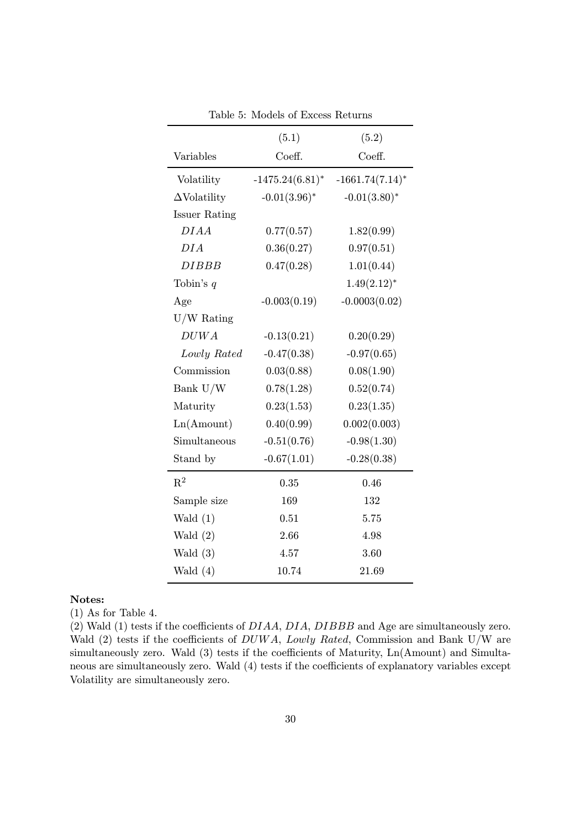|                      | (5.1)              | (5.2)              |
|----------------------|--------------------|--------------------|
| Variables            | Coeff.             | Coeff.             |
| Volatility           | $-1475.24(6.81)^*$ | $-1661.74(7.14)^*$ |
| $\Delta$ Volatility  | $-0.01(3.96)^*$    | $-0.01(3.80)$ *    |
| <b>Issuer Rating</b> |                    |                    |
| DIAA                 | 0.77(0.57)         | 1.82(0.99)         |
| DIA                  | 0.36(0.27)         | 0.97(0.51)         |
| <i>DIBBB</i>         | 0.47(0.28)         | 1.01(0.44)         |
| Tobin's $q$          |                    | $1.49(2.12)^{*}$   |
| Age                  | $-0.003(0.19)$     | $-0.0003(0.02)$    |
| $U/W$ Rating         |                    |                    |
| DUWA                 | $-0.13(0.21)$      | 0.20(0.29)         |
| Lowly Rated          | $-0.47(0.38)$      | $-0.97(0.65)$      |
| Commission           | 0.03(0.88)         | 0.08(1.90)         |
| Bank U/W             | 0.78(1.28)         | 0.52(0.74)         |
| Maturity             | 0.23(1.53)         | 0.23(1.35)         |
| Ln(Amount)           | 0.40(0.99)         | 0.002(0.003)       |
| Simultaneous         | $-0.51(0.76)$      | $-0.98(1.30)$      |
| Stand by             | $-0.67(1.01)$      | $-0.28(0.38)$      |
| $R^2$                | 0.35               | 0.46               |
| Sample size          | 169                | 132                |
| Wald $(1)$           | 0.51               | 5.75               |
| Wald $(2)$           | 2.66               | 4.98               |
| Wald $(3)$           | 4.57               | 3.60               |
| Wald $(4)$           | 10.74              | 21.69              |

Table 5: Models of Excess Returns

#### Notes:

(1) As for Table 4.

(2) Wald (1) tests if the coefficients of DIAA, DIA, DIBBB and Age are simultaneously zero. Wald (2) tests if the coefficients of  $DUWA$ , Lowly Rated, Commission and Bank U/W are simultaneously zero. Wald (3) tests if the coefficients of Maturity,  $Ln(Amount)$  and Simultaneous are simultaneously zero. Wald (4) tests if the coefficients of explanatory variables except Volatility are simultaneously zero.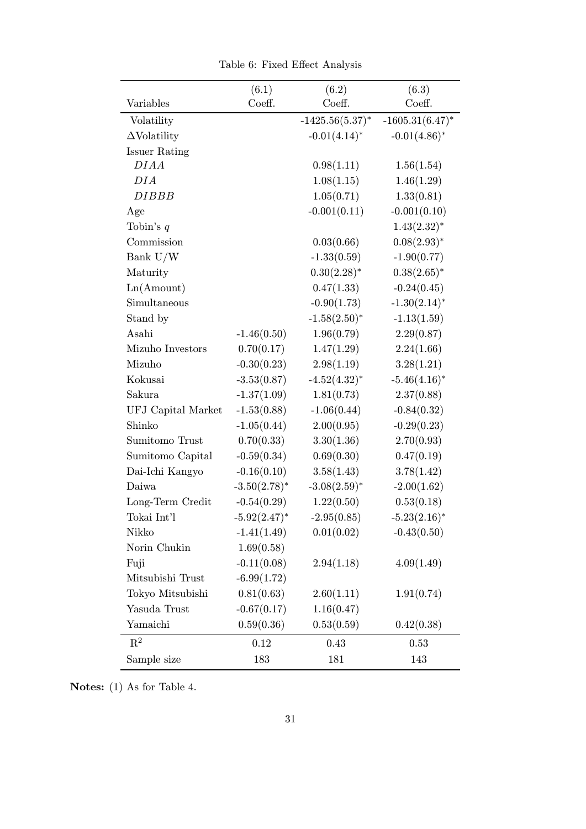|                      | (6.1)           | (6.2)              | (6.3)              |
|----------------------|-----------------|--------------------|--------------------|
| Variables            | Coeff.          | Coeff.             | Coeff.             |
| Volatility           |                 | $-1425.56(5.37)^*$ | $-1605.31(6.47)^*$ |
| $\Delta$ Volatility  |                 | $-0.01(4.14)^*$    | $-0.01(4.86)^*$    |
| <b>Issuer Rating</b> |                 |                    |                    |
| DIAA                 |                 | 0.98(1.11)         | 1.56(1.54)         |
| DIA                  |                 | 1.08(1.15)         | 1.46(1.29)         |
| <b>DIBBB</b>         |                 | 1.05(0.71)         | 1.33(0.81)         |
| Age                  |                 | $-0.001(0.11)$     | $-0.001(0.10)$     |
| Tobin's $q$          |                 |                    | $1.43(2.32)^{*}$   |
| Commission           |                 | 0.03(0.66)         | $0.08(2.93)^{*}$   |
| Bank U/W             |                 | $-1.33(0.59)$      | $-1.90(0.77)$      |
| Maturity             |                 | $0.30(2.28)^*$     | $0.38(2.65)^*$     |
| Ln(Amount)           |                 | 0.47(1.33)         | $-0.24(0.45)$      |
| Simultaneous         |                 | $-0.90(1.73)$      | $-1.30(2.14)$ *    |
| Stand by             |                 | $-1.58(2.50)$ *    | $-1.13(1.59)$      |
| Asahi                | $-1.46(0.50)$   | 1.96(0.79)         | 2.29(0.87)         |
| Mizuho Investors     | 0.70(0.17)      | 1.47(1.29)         | 2.24(1.66)         |
| Mizuho               | $-0.30(0.23)$   | 2.98(1.19)         | 3.28(1.21)         |
| Kokusai              | $-3.53(0.87)$   | $-4.52(4.32)^*$    | $-5.46(4.16)$ *    |
| Sakura               | $-1.37(1.09)$   | 1.81(0.73)         | 2.37(0.88)         |
| UFJ Capital Market   | $-1.53(0.88)$   | $-1.06(0.44)$      | $-0.84(0.32)$      |
| Shinko               | $-1.05(0.44)$   | 2.00(0.95)         | $-0.29(0.23)$      |
| Sumitomo Trust       | 0.70(0.33)      | 3.30(1.36)         | 2.70(0.93)         |
| Sumitomo Capital     | $-0.59(0.34)$   | 0.69(0.30)         | 0.47(0.19)         |
| Dai-Ichi Kangyo      | $-0.16(0.10)$   | 3.58(1.43)         | 3.78(1.42)         |
| Daiwa                | $-3.50(2.78)$ * | $-3.08(2.59)$ *    | $-2.00(1.62)$      |
| Long-Term Credit     | $-0.54(0.29)$   | 1.22(0.50)         | 0.53(0.18)         |
| Tokai Int'l          | $-5.92(2.47)^*$ | $-2.95(0.85)$      | $-5.23(2.16)^*$    |
| Nikko                | $-1.41(1.49)$   | 0.01(0.02)         | $-0.43(0.50)$      |
| Norin Chukin         | 1.69(0.58)      |                    |                    |
| Fuji                 | $-0.11(0.08)$   | 2.94(1.18)         | 4.09(1.49)         |
| Mitsubishi Trust     | $-6.99(1.72)$   |                    |                    |
| Tokyo Mitsubishi     | 0.81(0.63)      | 2.60(1.11)         | 1.91(0.74)         |
| Yasuda Trust         | $-0.67(0.17)$   | 1.16(0.47)         |                    |
| Yamaichi             | 0.59(0.36)      | 0.53(0.59)         | 0.42(0.38)         |
| $\mathrm{R}^2$       | 0.12            | 0.43               | 0.53               |
| Sample size          | 183             | 181                | 143                |

Table 6: Fixed Effect Analysis

Notes: (1) As for Table 4.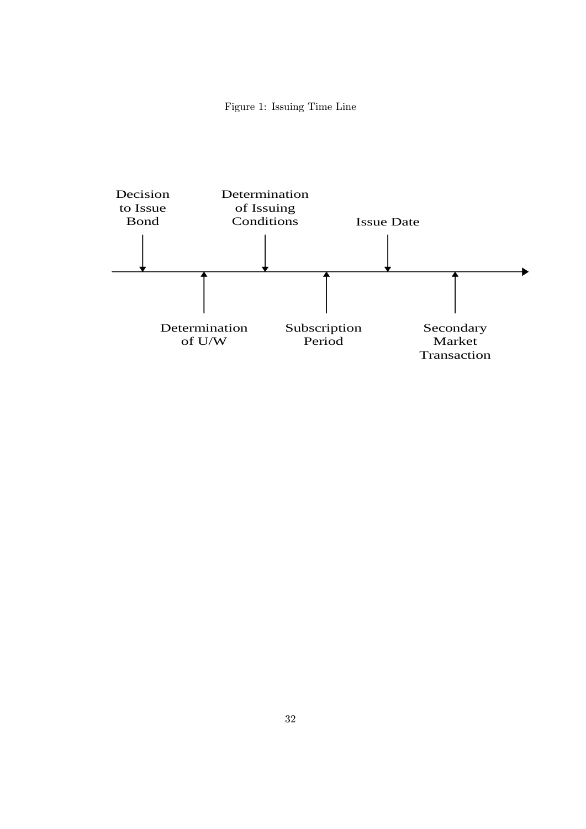Figure 1: Issuing Time Line

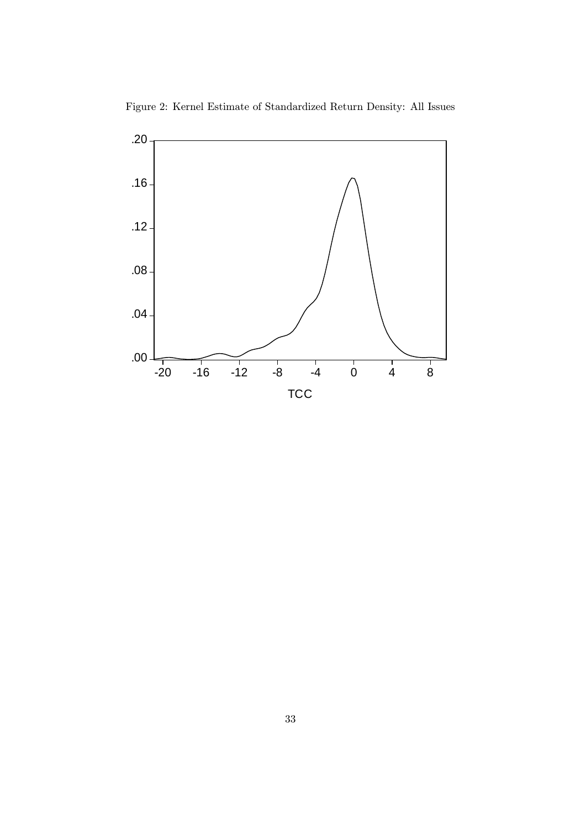

Figure 2: Kernel Estimate of Standardized Return Density: All Issues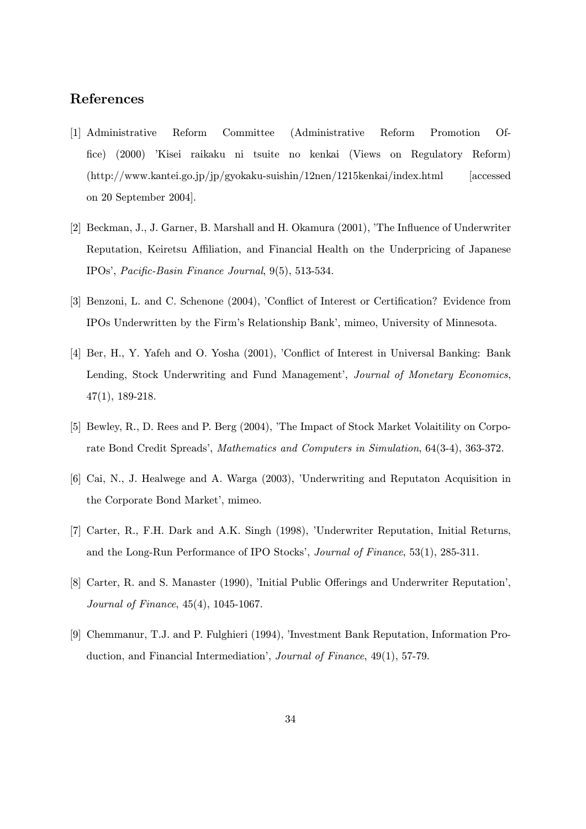# References

- [1] Administrative Reform Committee (Administrative Reform Promotion Office) (2000) 'Kisei raikaku ni tsuite no kenkai (Views on Regulatory Reform) (http://www.kantei.go.jp/jp/gyokaku-suishin/12nen/1215kenkai/index.html [accessed on 20 September 2004].
- [2] Beckman, J., J. Garner, B. Marshall and H. Okamura (2001), 'The Influence of Underwriter Reputation, Keiretsu Affiliation, and Financial Health on the Underpricing of Japanese IPOs', Pacific-Basin Finance Journal, 9(5), 513-534.
- [3] Benzoni, L. and C. Schenone (2004), 'Conflict of Interest or Certification? Evidence from IPOs Underwritten by the Firm's Relationship Bank', mimeo, University of Minnesota.
- [4] Ber, H., Y. Yafeh and O. Yosha (2001), 'Conflict of Interest in Universal Banking: Bank Lending, Stock Underwriting and Fund Management', Journal of Monetary Economics, 47(1), 189-218.
- [5] Bewley, R., D. Rees and P. Berg (2004), 'The Impact of Stock Market Volaitility on Corporate Bond Credit Spreads', Mathematics and Computers in Simulation, 64(3-4), 363-372.
- [6] Cai, N., J. Healwege and A. Warga (2003), 'Underwriting and Reputaton Acquisition in the Corporate Bond Market', mimeo.
- [7] Carter, R., F.H. Dark and A.K. Singh (1998), 'Underwriter Reputation, Initial Returns, and the Long-Run Performance of IPO Stocks', Journal of Finance, 53(1), 285-311.
- [8] Carter, R. and S. Manaster (1990), 'Initial Public Offerings and Underwriter Reputation', Journal of Finance, 45(4), 1045-1067.
- [9] Chemmanur, T.J. and P. Fulghieri (1994), 'Investment Bank Reputation, Information Production, and Financial Intermediation', Journal of Finance, 49(1), 57-79.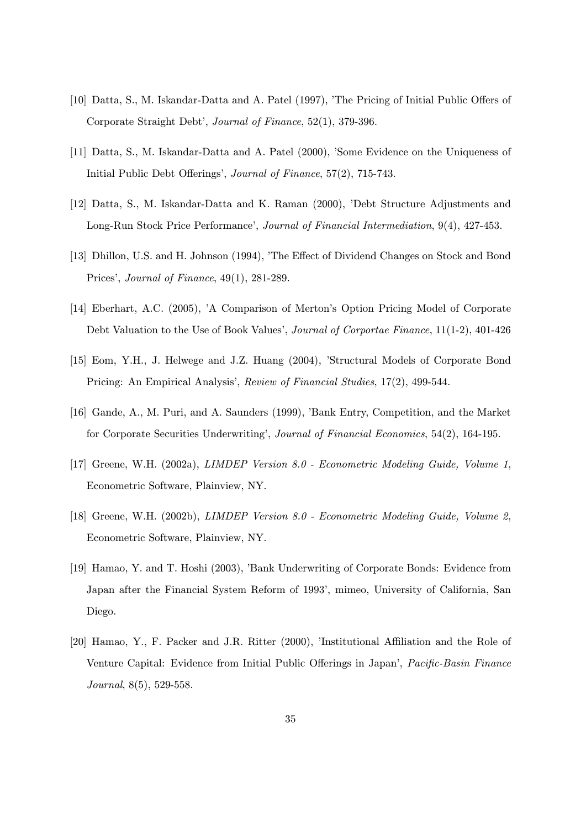- [10] Datta, S., M. Iskandar-Datta and A. Patel (1997), 'The Pricing of Initial Public Offers of Corporate Straight Debt', Journal of Finance, 52(1), 379-396.
- [11] Datta, S., M. Iskandar-Datta and A. Patel (2000), 'Some Evidence on the Uniqueness of Initial Public Debt Offerings', Journal of Finance, 57(2), 715-743.
- [12] Datta, S., M. Iskandar-Datta and K. Raman (2000), 'Debt Structure Adjustments and Long-Run Stock Price Performance', Journal of Financial Intermediation, 9(4), 427-453.
- [13] Dhillon, U.S. and H. Johnson (1994), 'The Effect of Dividend Changes on Stock and Bond Prices', Journal of Finance, 49(1), 281-289.
- [14] Eberhart, A.C. (2005), 'A Comparison of Merton's Option Pricing Model of Corporate Debt Valuation to the Use of Book Values', Journal of Corportae Finance, 11(1-2), 401-426
- [15] Eom, Y.H., J. Helwege and J.Z. Huang (2004), 'Structural Models of Corporate Bond Pricing: An Empirical Analysis', Review of Financial Studies, 17(2), 499-544.
- [16] Gande, A., M. Puri, and A. Saunders (1999), 'Bank Entry, Competition, and the Market for Corporate Securities Underwriting', Journal of Financial Economics, 54(2), 164-195.
- [17] Greene, W.H. (2002a), LIMDEP Version 8.0 Econometric Modeling Guide, Volume 1, Econometric Software, Plainview, NY.
- [18] Greene, W.H. (2002b), LIMDEP Version 8.0 Econometric Modeling Guide, Volume 2, Econometric Software, Plainview, NY.
- [19] Hamao, Y. and T. Hoshi (2003), 'Bank Underwriting of Corporate Bonds: Evidence from Japan after the Financial System Reform of 1993', mimeo, University of California, San Diego.
- [20] Hamao, Y., F. Packer and J.R. Ritter (2000), 'Institutional Affiliation and the Role of Venture Capital: Evidence from Initial Public Offerings in Japan', Pacific-Basin Finance Journal, 8(5), 529-558.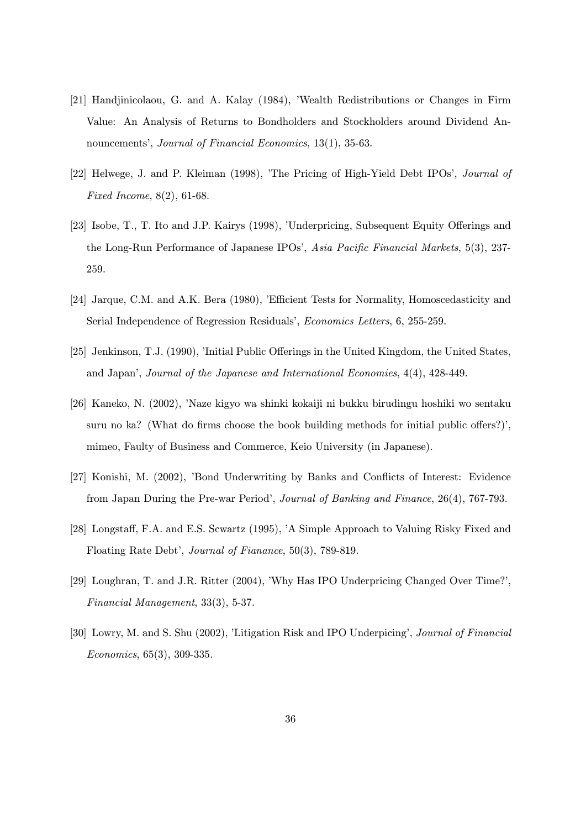- [21] Handjinicolaou, G. and A. Kalay (1984), 'Wealth Redistributions or Changes in Firm Value: An Analysis of Returns to Bondholders and Stockholders around Dividend Announcements', Journal of Financial Economics, 13(1), 35-63.
- [22] Helwege, J. and P. Kleiman (1998), 'The Pricing of High-Yield Debt IPOs', Journal of Fixed Income, 8(2), 61-68.
- [23] Isobe, T., T. Ito and J.P. Kairys (1998), 'Underpricing, Subsequent Equity Offerings and the Long-Run Performance of Japanese IPOs', Asia Pacific Financial Markets, 5(3), 237- 259.
- [24] Jarque, C.M. and A.K. Bera (1980), 'Efficient Tests for Normality, Homoscedasticity and Serial Independence of Regression Residuals', Economics Letters, 6, 255-259.
- [25] Jenkinson, T.J. (1990), 'Initial Public Offerings in the United Kingdom, the United States, and Japan', Journal of the Japanese and International Economies, 4(4), 428-449.
- [26] Kaneko, N. (2002), 'Naze kigyo wa shinki kokaiji ni bukku birudingu hoshiki wo sentaku suru no ka? (What do firms choose the book building methods for initial public offers?)', mimeo, Faulty of Business and Commerce, Keio University (in Japanese).
- [27] Konishi, M. (2002), 'Bond Underwriting by Banks and Conflicts of Interest: Evidence from Japan During the Pre-war Period', Journal of Banking and Finance, 26(4), 767-793.
- [28] Longstaff, F.A. and E.S. Scwartz (1995), 'A Simple Approach to Valuing Risky Fixed and Floating Rate Debt', Journal of Fianance, 50(3), 789-819.
- [29] Loughran, T. and J.R. Ritter (2004), 'Why Has IPO Underpricing Changed Over Time?', Financial Management, 33(3), 5-37.
- [30] Lowry, M. and S. Shu (2002), 'Litigation Risk and IPO Underpicing', Journal of Financial Economics, 65(3), 309-335.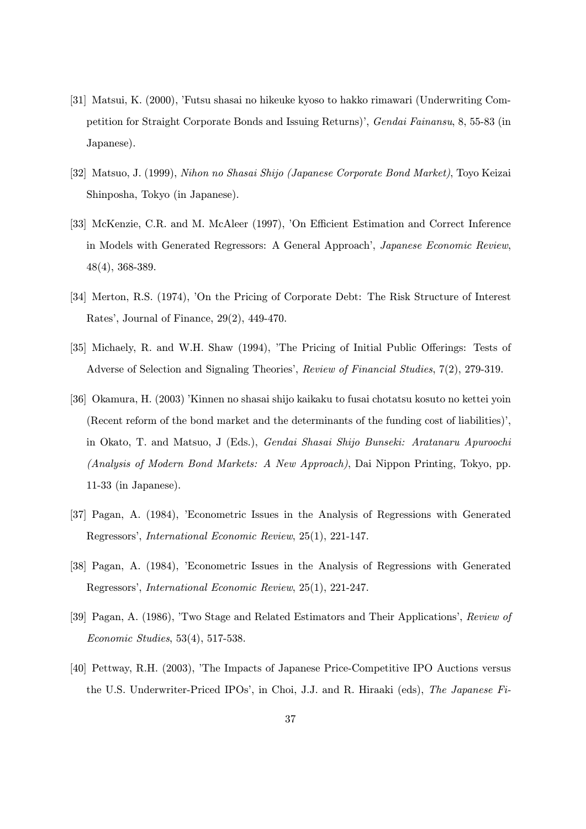- [31] Matsui, K. (2000), 'Futsu shasai no hikeuke kyoso to hakko rimawari (Underwriting Competition for Straight Corporate Bonds and Issuing Returns)', Gendai Fainansu, 8, 55-83 (in Japanese).
- [32] Matsuo, J. (1999), Nihon no Shasai Shijo (Japanese Corporate Bond Market), Toyo Keizai Shinposha, Tokyo (in Japanese).
- [33] McKenzie, C.R. and M. McAleer (1997), 'On Efficient Estimation and Correct Inference in Models with Generated Regressors: A General Approach', Japanese Economic Review, 48(4), 368-389.
- [34] Merton, R.S. (1974), 'On the Pricing of Corporate Debt: The Risk Structure of Interest Rates', Journal of Finance, 29(2), 449-470.
- [35] Michaely, R. and W.H. Shaw (1994), 'The Pricing of Initial Public Offerings: Tests of Adverse of Selection and Signaling Theories', Review of Financial Studies, 7(2), 279-319.
- [36] Okamura, H. (2003) 'Kinnen no shasai shijo kaikaku to fusai chotatsu kosuto no kettei yoin (Recent reform of the bond market and the determinants of the funding cost of liabilities)', in Okato, T. and Matsuo, J (Eds.), Gendai Shasai Shijo Bunseki: Aratanaru Apuroochi (Analysis of Modern Bond Markets: A New Approach), Dai Nippon Printing, Tokyo, pp. 11-33 (in Japanese).
- [37] Pagan, A. (1984), 'Econometric Issues in the Analysis of Regressions with Generated Regressors', International Economic Review, 25(1), 221-147.
- [38] Pagan, A. (1984), 'Econometric Issues in the Analysis of Regressions with Generated Regressors', International Economic Review, 25(1), 221-247.
- [39] Pagan, A. (1986), 'Two Stage and Related Estimators and Their Applications', Review of Economic Studies, 53(4), 517-538.
- [40] Pettway, R.H. (2003), 'The Impacts of Japanese Price-Competitive IPO Auctions versus the U.S. Underwriter-Priced IPOs', in Choi, J.J. and R. Hiraaki (eds), The Japanese Fi-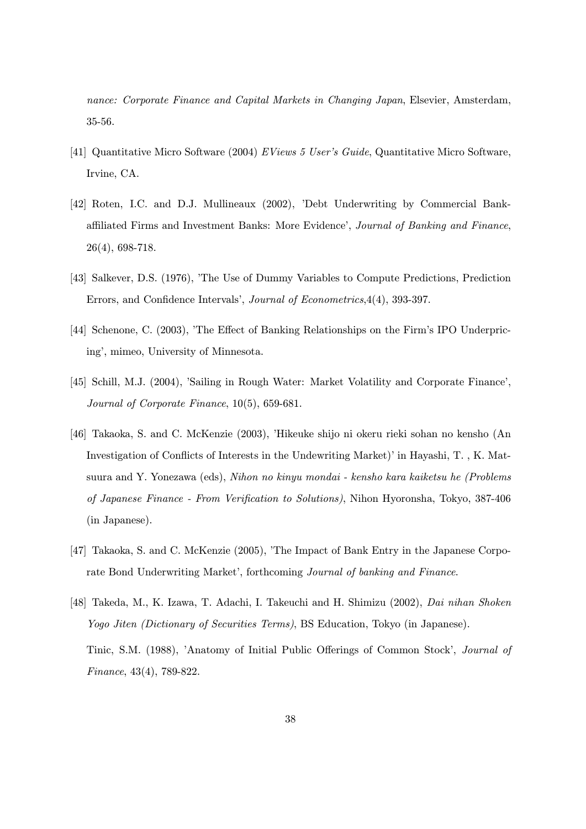nance: Corporate Finance and Capital Markets in Changing Japan, Elsevier, Amsterdam, 35-56.

- [41] Quantitative Micro Software (2004) EViews 5 User's Guide, Quantitative Micro Software, Irvine, CA.
- [42] Roten, I.C. and D.J. Mullineaux (2002), 'Debt Underwriting by Commercial Bankaffiliated Firms and Investment Banks: More Evidence', Journal of Banking and Finance, 26(4), 698-718.
- [43] Salkever, D.S. (1976), 'The Use of Dummy Variables to Compute Predictions, Prediction Errors, and Confidence Intervals', Journal of Econometrics,4(4), 393-397.
- [44] Schenone, C. (2003), 'The Effect of Banking Relationships on the Firm's IPO Underpricing', mimeo, University of Minnesota.
- [45] Schill, M.J. (2004), 'Sailing in Rough Water: Market Volatility and Corporate Finance', Journal of Corporate Finance, 10(5), 659-681.
- [46] Takaoka, S. and C. McKenzie (2003), 'Hikeuke shijo ni okeru rieki sohan no kensho (An Investigation of Conflicts of Interests in the Undewriting Market)' in Hayashi, T. , K. Matsuura and Y. Yonezawa (eds), Nihon no kinyu mondai - kensho kara kaiketsu he (Problems of Japanese Finance - From Verification to Solutions), Nihon Hyoronsha, Tokyo, 387-406 (in Japanese).
- [47] Takaoka, S. and C. McKenzie (2005), 'The Impact of Bank Entry in the Japanese Corporate Bond Underwriting Market', forthcoming Journal of banking and Finance.
- [48] Takeda, M., K. Izawa, T. Adachi, I. Takeuchi and H. Shimizu (2002), Dai nihan Shoken Yogo Jiten (Dictionary of Securities Terms), BS Education, Tokyo (in Japanese). Tinic, S.M. (1988), 'Anatomy of Initial Public Offerings of Common Stock', Journal of Finance, 43(4), 789-822.